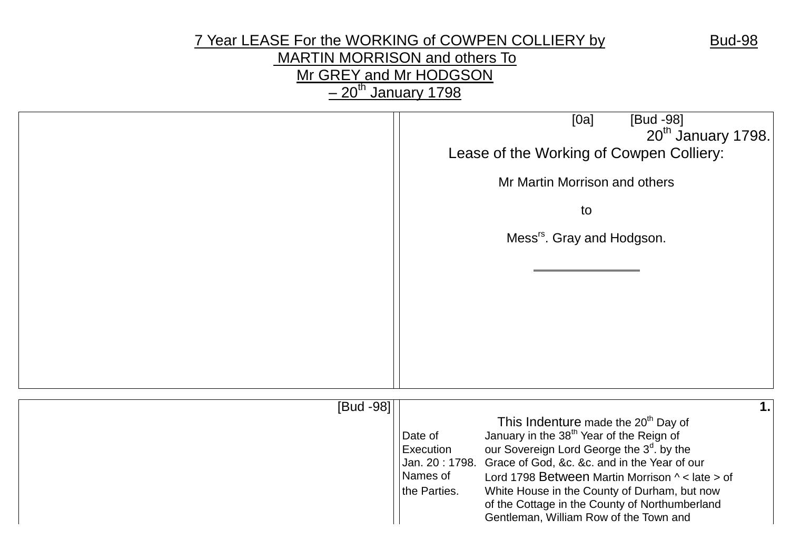# 7 Year LEASE For the WORKING of COWPEN COLLIERY by Bud-98 MARTIN MORRISON and others To Mr GREY and Mr HODGSON  $-20$ <sup>th</sup> January 1798

|           | [0a]<br>[Bud -98]<br>20 <sup>th</sup> January 1798.<br>Lease of the Working of Cowpen Colliery:<br>Mr Martin Morrison and others<br>to<br>Mess <sup>rs</sup> . Gray and Hodgson.                                                                                                                                                                                                                                                                                                            |
|-----------|---------------------------------------------------------------------------------------------------------------------------------------------------------------------------------------------------------------------------------------------------------------------------------------------------------------------------------------------------------------------------------------------------------------------------------------------------------------------------------------------|
| [Bud -98] | 1.<br>This Indenture made the 20 <sup>th</sup> Day of<br>January in the 38 <sup>th</sup> Year of the Reign of<br>Date of<br>our Sovereign Lord George the 3 <sup>d</sup> . by the<br>Execution<br>Grace of God, &c. &c. and in the Year of our<br>Jan. 20: 1798.<br>Names of<br>Lord 1798 Between Martin Morrison ^ < late > of<br>the Parties.<br>White House in the County of Durham, but now<br>of the Cottage in the County of Northumberland<br>Gentleman, William Row of the Town and |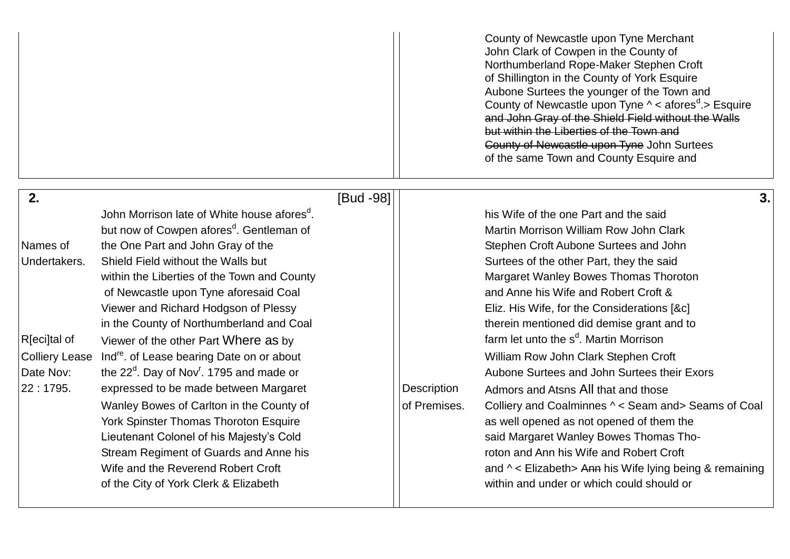| County of Newcastle upon Tyne Merchant                                  |
|-------------------------------------------------------------------------|
| John Clark of Cowpen in the County of                                   |
| Northumberland Rope-Maker Stephen Croft                                 |
| of Shillington in the County of York Esquire                            |
| Aubone Surtees the younger of the Town and                              |
| County of Newcastle upon Tyne $\wedge$ < afores <sup>d</sup> .> Esquire |
| and John Gray of the Shield Field without the Walls                     |
| but within the Liberties of the Town and                                |
| County of Newcastle upon Tyne John Surtees                              |
| of the same Town and County Esquire and                                 |
|                                                                         |

| 2.                    |                                                               | [Bud -98] |              |                                                                 | 3.1 |
|-----------------------|---------------------------------------------------------------|-----------|--------------|-----------------------------------------------------------------|-----|
|                       | John Morrison late of White house afores <sup>d</sup> .       |           |              | his Wife of the one Part and the said                           |     |
|                       | but now of Cowpen afores <sup>d</sup> . Gentleman of          |           |              | Martin Morrison William Row John Clark                          |     |
| Names of              | the One Part and John Gray of the                             |           |              | Stephen Croft Aubone Surtees and John                           |     |
| Undertakers.          | Shield Field without the Walls but                            |           |              | Surtees of the other Part, they the said                        |     |
|                       | within the Liberties of the Town and County                   |           |              | Margaret Wanley Bowes Thomas Thoroton                           |     |
|                       | of Newcastle upon Tyne aforesaid Coal                         |           |              | and Anne his Wife and Robert Croft &                            |     |
|                       | Viewer and Richard Hodgson of Plessy                          |           |              | Eliz. His Wife, for the Considerations [&c]                     |     |
|                       | in the County of Northumberland and Coal                      |           |              | therein mentioned did demise grant and to                       |     |
| R[eci]tal of          | Viewer of the other Part Where as by                          |           |              | farm let unto the s <sup>d</sup> . Martin Morrison              |     |
| <b>Colliery Lease</b> | Ind <sup>re</sup> . of Lease bearing Date on or about         |           |              | William Row John Clark Stephen Croft                            |     |
| Date Nov:             | the $22^{\circ}$ . Day of Nov <sup>r</sup> . 1795 and made or |           |              | Aubone Surtees and John Surtees their Exors                     |     |
| 22:1795.              | expressed to be made between Margaret                         |           | Description  | Admors and Atsns All that and those                             |     |
|                       | Wanley Bowes of Carlton in the County of                      |           | of Premises. | Colliery and Coalminnes ^ < Seam and> Seams of Coal             |     |
|                       | <b>York Spinster Thomas Thoroton Esquire</b>                  |           |              | as well opened as not opened of them the                        |     |
|                       | Lieutenant Colonel of his Majesty's Cold                      |           |              | said Margaret Wanley Bowes Thomas Tho-                          |     |
|                       | Stream Regiment of Guards and Anne his                        |           |              | roton and Ann his Wife and Robert Croft                         |     |
|                       | Wife and the Reverend Robert Croft                            |           |              | and $\wedge$ < Elizabeth > Ann his Wife lying being & remaining |     |
|                       | of the City of York Clerk & Elizabeth                         |           |              | within and under or which could should or                       |     |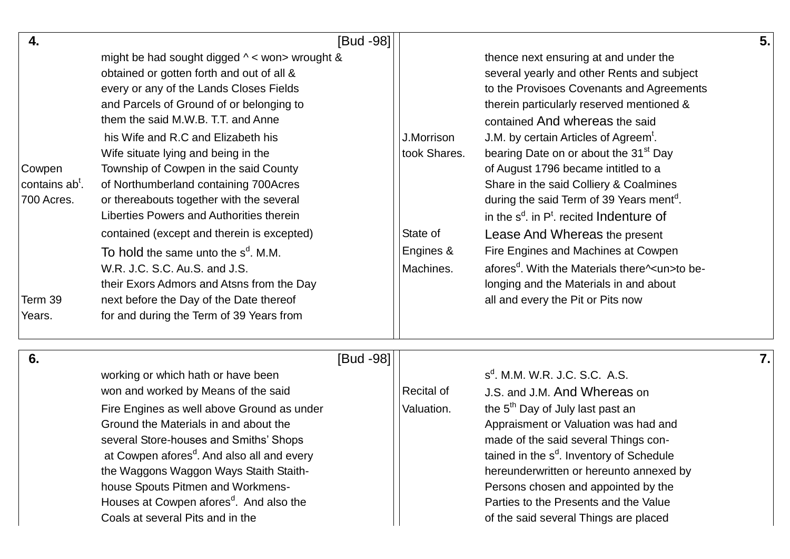| 4.                         | [Bud -98]                                       |              |                                                                                          | 5.1 |
|----------------------------|-------------------------------------------------|--------------|------------------------------------------------------------------------------------------|-----|
|                            | might be had sought digged ^ < won> wrought &   |              | thence next ensuring at and under the                                                    |     |
|                            | obtained or gotten forth and out of all &       |              | several yearly and other Rents and subject                                               |     |
|                            | every or any of the Lands Closes Fields         |              | to the Provisoes Covenants and Agreements                                                |     |
|                            | and Parcels of Ground of or belonging to        |              | therein particularly reserved mentioned &                                                |     |
|                            | them the said M.W.B. T.T. and Anne              |              | contained And whereas the said                                                           |     |
|                            | his Wife and R.C and Elizabeth his              | J.Morrison   | J.M. by certain Articles of Agreem <sup>t</sup> .                                        |     |
|                            | Wife situate lying and being in the             | took Shares. | bearing Date on or about the 31 <sup>st</sup> Day                                        |     |
| Cowpen                     | Township of Cowpen in the said County           |              | of August 1796 became intitled to a                                                      |     |
| contains ab <sup>t</sup> . | of Northumberland containing 700Acres           |              | Share in the said Colliery & Coalmines                                                   |     |
| 700 Acres.                 | or thereabouts together with the several        |              | during the said Term of 39 Years ment <sup>d</sup> .                                     |     |
|                            | Liberties Powers and Authorities therein        |              | in the $s^d$ , in $P^t$ , recited Indenture of                                           |     |
|                            | contained (except and therein is excepted)      | State of     | Lease And Whereas the present                                                            |     |
|                            | To hold the same unto the s <sup>d</sup> . M.M. | Engines &    | Fire Engines and Machines at Cowpen                                                      |     |
|                            | W.R. J.C. S.C. Au.S. and J.S.                   | Machines.    | afores <sup>d</sup> . With the Materials there <sup><math>\lambda</math></sup> un>to be- |     |
|                            | their Exors Admors and Atsns from the Day       |              | longing and the Materials in and about                                                   |     |
| Term 39                    | next before the Day of the Date thereof         |              | all and every the Pit or Pits now                                                        |     |
| Years.                     | for and during the Term of 39 Years from        |              |                                                                                          |     |

| - 6. | [Bud -98]                                              |            |                                                      | 7.I |
|------|--------------------------------------------------------|------------|------------------------------------------------------|-----|
|      | working or which hath or have been                     |            | $sd$ . M.M. W.R. J.C. S.C. A.S.                      |     |
|      | won and worked by Means of the said                    | Recital of | J.S. and J.M. And Whereas on                         |     |
|      | Fire Engines as well above Ground as under             | Valuation. | the 5 <sup>th</sup> Day of July last past an         |     |
|      | Ground the Materials in and about the                  |            | Appraisment or Valuation was had and                 |     |
|      | several Store-houses and Smiths' Shops                 |            | made of the said several Things con-                 |     |
|      | at Cowpen afores <sup>d</sup> . And also all and every |            | tained in the s <sup>d</sup> . Inventory of Schedule |     |
|      | the Waggons Waggon Ways Staith Staith-                 |            | hereunderwritten or hereunto annexed by              |     |
|      | house Spouts Pitmen and Workmens-                      |            | Persons chosen and appointed by the                  |     |
|      | Houses at Cowpen afores <sup>d</sup> . And also the    |            | Parties to the Presents and the Value                |     |
|      | Coals at several Pits and in the                       |            | of the said several Things are placed                |     |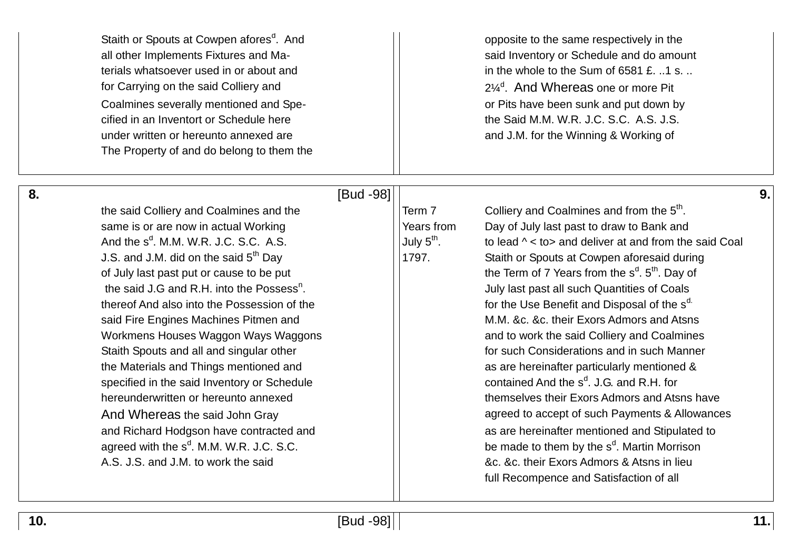Staith or Spouts at Cowpen afores<sup>d</sup>. And for Carrying on the said Colliery and Coalmines severally mentioned and Spe-<br>  $\vert \vert$  or Pits have been sunk and put down by cified in an Inventort or Schedule here the Said M.M. W.R. J.C. S.C. A.S. J.S. under written or hereunto annexed are and and J.M. for the Winning & Working of The Property of and do belong to them the

opposite to the same respectively in the all other Implements Fixtures and Ma- said Inventory or Schedule and do amount terials whatsoever used in or about and in the whole to the Sum of 6581 £. ..1 s. ..  $2\frac{1}{4}$ <sup>d</sup>. And Whereas one or more Pit

the said Colliery and Coalmines and the  $\vert$  Term 7 same is or are now in actual Working Theorem Theorem Vears from Day of July last past to draw to Bank and And the s<sup>d</sup>. M.M. W.R. J.C. S.C. A.S.  $|$  July 5<sup>th</sup> of July last past put or cause to be put the said J.G and R.H. into the Possess<sup>n</sup> thereof And also into the Possession of the  $\vert$  for the Use Benefit and Disposal of the s<sup>d.</sup> specified in the said Inventory or Schedule agreed with the  $s^d$ . M.M. W.R. J.C. S.C. A.S. J.S. and J.M. to work the said  $\overline{a}$  and  $\overline{a}$  are  $\overline{a}$  are  $\overline{a}$  are  $\overline{a}$  are  $\overline{a}$  are  $\overline{a}$  are  $\overline{a}$  are  $\overline{a}$  and  $\overline{a}$  to work the said

**8.**  $\begin{bmatrix} \text{Bud -98} \end{bmatrix}$  |

Colliery and Coalmines and from the 5<sup>th</sup>. July  $5^{\text{th}}$ . to lead  $\land$  < to and deliver at and from the said Coal J.S. and J.M. did on the said  $5<sup>th</sup>$  Day  $\vert$  1797. Staith or Spouts at Cowpen aforesaid during the Term of 7 Years from the  $s<sup>d</sup>$ .  $5<sup>th</sup>$ . Day of . July last past all such Quantities of Coals said Fire Engines Machines Pitmen and M.M. &c. &c. their Exors Admors and Atsns Workmens Houses Waggon Ways Waggons Maggons and to work the said Colliery and Coalmines Staith Spouts and all and singular other **Form Accord 1** For such Considerations and in such Manner the Materials and Things mentioned and and as are hereinafter particularly mentioned & contained And the  $s^d$ , J.G. and R.H. for hereunderwritten or hereunto annexed themselves their Exors Admors and Atsns have And Whereas the said John Gray and And Whereas the said John Gray and Richard Hodgson have contracted and **All Contracted and Accord Accord Accord** as are hereinafter mentioned and Stipulated to . M.M. W.R. J.C. S.C.  $||$  be made to them by the s<sup>d</sup>. Martin Morrison full Recompence and Satisfaction of all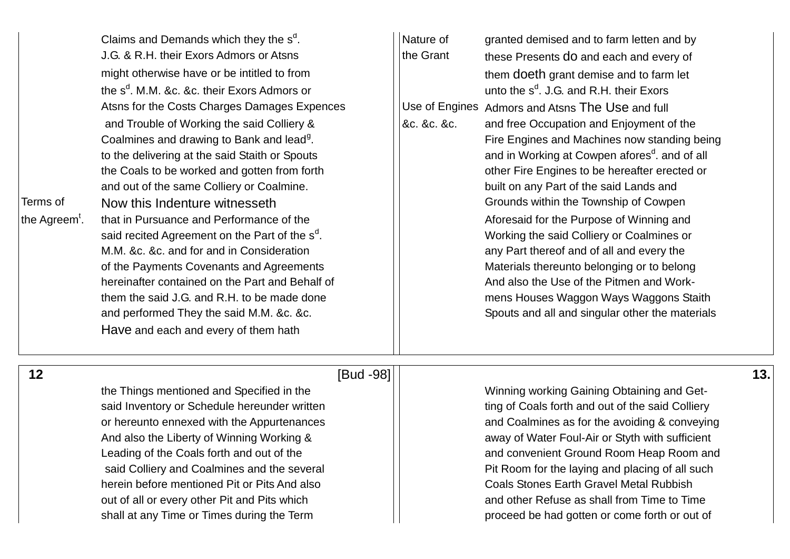| Claims and Demands which they the s <sup>d</sup> .         | Nature of                                                 |
|------------------------------------------------------------|-----------------------------------------------------------|
| J.G. & R.H. their Exors Admors or Atsns                    | granted demised and to farm letten and by                 |
| might otherwise have or be intitled to from                | the Grant                                                 |
| the s <sup>d</sup> . M.M. &c. &c. their Exors Admors or    | these Presents do and each and every of                   |
| Atsns for the Costs Charges Damages Expences               | them doeth grant demise and to farm let                   |
| and Trouble of Working the said Colliery &                 | unto the $s^d$ . J.G. and R.H. their Exors                |
| Coalmines and drawing to Bank and lead <sup>g</sup> .      | Use of Engines Admors and Atsns The Use and full          |
| to the delivering at the said Staith or Spouts             | &c. &c. &c.                                               |
| the Coals to be worked and gotten from forth               | and free Occupation and Enjoyment of the                  |
| and out of the same Colliery or Coalmine.                  | Fire Engines and Machines now standing being              |
| Terms of                                                   | and in Working at Cowpen afores <sup>d</sup> . and of all |
| Now this Indenture witnesseth                              | other Fire Engines to be hereafter erected or             |
| the Agreem <sup>t</sup> .                                  | built on any Part of the said Lands and                   |
| that in Pursuance and Performance of the                   | Grounds within the Township of Cowpen                     |
| said recited Agreement on the Part of the s <sup>d</sup> . | Aforesaid for the Purpose of Winning and                  |
| M.M. &c. &c. and for and in Consideration                  | Working the said Colliery or Coalmines or                 |
| of the Payments Covenants and Agreements                   | any Part thereof and of all and every the                 |
| hereinafter contained on the Part and Behalf of            | Materials thereunto belonging or to belong                |
| them the said J.G. and R.H. to be made done                | And also the Use of the Pitmen and Work-                  |
| and performed They the said M.M. &c. &c.                   | mens Houses Waggon Ways Waggons Staith                    |
| Have and each and every of them hath                       | Spouts and all and singular other the materials           |

# **12** [Bud -98] **13.**

the Things mentioned and Specified in the Winning working Gaining Obtaining and Getsaid Inventory or Schedule hereunder written the said Colliery ting of Coals forth and out of the said Colliery And also the Liberty of Winning Working & away of Water Foul-Air or Styth with sufficient herein before mentioned Pit or Pits And also **Coals Stones Earth Gravel Metal Rubbish** out of all or every other Pit and Pits which and  $\vert$  and other Refuse as shall from Time to Time shall at any Time or Times during the Term  $||$  proceed be had gotten or come forth or out of

or hereunto ennexed with the Appurtenances and Coalmines as for the avoiding & conveying Leading of the Coals forth and out of the and convenient Ground Room Heap Room and said Colliery and Coalmines and the several **Pit Room for the laying and placing of all such**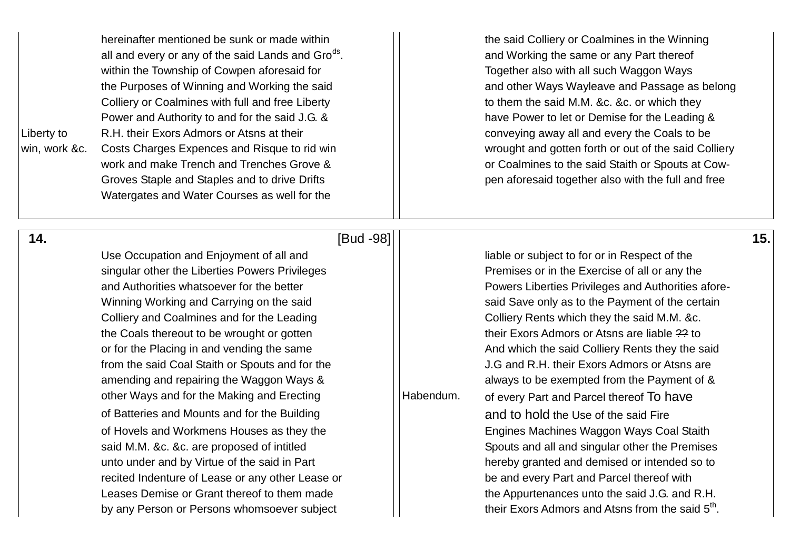| Liberty to<br>win, work &c. | hereinafter mentioned be sunk or made within<br>all and every or any of the said Lands and Gro <sup>ds</sup> .<br>within the Township of Cowpen aforesaid for<br>the Purposes of Winning and Working the said<br>Colliery or Coalmines with full and free Liberty<br>Power and Authority to and for the said J.G. &<br>R.H. their Exors Admors or Atsns at their<br>Costs Charges Expences and Risque to rid win<br>work and make Trench and Trenches Grove &<br>Groves Staple and Staples and to drive Drifts<br>Watergates and Water Courses as well for the |           | the said Colliery or Coalmines in the Winning<br>and Working the same or any Part thereof<br>Together also with all such Waggon Ways<br>and other Ways Wayleave and Passage as belong<br>to them the said M.M. &c. &c. or which they<br>have Power to let or Demise for the Leading &<br>conveying away all and every the Coals to be<br>wrought and gotten forth or out of the said Colliery<br>or Coalmines to the said Staith or Spouts at Cow-<br>pen aforesaid together also with the full and free |     |
|-----------------------------|----------------------------------------------------------------------------------------------------------------------------------------------------------------------------------------------------------------------------------------------------------------------------------------------------------------------------------------------------------------------------------------------------------------------------------------------------------------------------------------------------------------------------------------------------------------|-----------|----------------------------------------------------------------------------------------------------------------------------------------------------------------------------------------------------------------------------------------------------------------------------------------------------------------------------------------------------------------------------------------------------------------------------------------------------------------------------------------------------------|-----|
| 14.                         | [Bud -98]                                                                                                                                                                                                                                                                                                                                                                                                                                                                                                                                                      |           |                                                                                                                                                                                                                                                                                                                                                                                                                                                                                                          | 15. |
|                             | Use Occupation and Enjoyment of all and                                                                                                                                                                                                                                                                                                                                                                                                                                                                                                                        |           | liable or subject to for or in Respect of the                                                                                                                                                                                                                                                                                                                                                                                                                                                            |     |
|                             | singular other the Liberties Powers Privileges                                                                                                                                                                                                                                                                                                                                                                                                                                                                                                                 |           | Premises or in the Exercise of all or any the                                                                                                                                                                                                                                                                                                                                                                                                                                                            |     |
|                             | and Authorities whatsoever for the better                                                                                                                                                                                                                                                                                                                                                                                                                                                                                                                      |           | Powers Liberties Privileges and Authorities afore-                                                                                                                                                                                                                                                                                                                                                                                                                                                       |     |
|                             | Winning Working and Carrying on the said                                                                                                                                                                                                                                                                                                                                                                                                                                                                                                                       |           | said Save only as to the Payment of the certain                                                                                                                                                                                                                                                                                                                                                                                                                                                          |     |
|                             | Colliery and Coalmines and for the Leading                                                                                                                                                                                                                                                                                                                                                                                                                                                                                                                     |           | Colliery Rents which they the said M.M. &c.                                                                                                                                                                                                                                                                                                                                                                                                                                                              |     |
|                             | the Coals thereout to be wrought or gotten                                                                                                                                                                                                                                                                                                                                                                                                                                                                                                                     |           | their Exors Admors or Atsns are liable ?? to                                                                                                                                                                                                                                                                                                                                                                                                                                                             |     |
|                             | or for the Placing in and vending the same                                                                                                                                                                                                                                                                                                                                                                                                                                                                                                                     |           | And which the said Colliery Rents they the said                                                                                                                                                                                                                                                                                                                                                                                                                                                          |     |
|                             | from the said Coal Staith or Spouts and for the                                                                                                                                                                                                                                                                                                                                                                                                                                                                                                                |           | J.G and R.H. their Exors Admors or Atsns are                                                                                                                                                                                                                                                                                                                                                                                                                                                             |     |
|                             | amending and repairing the Waggon Ways &                                                                                                                                                                                                                                                                                                                                                                                                                                                                                                                       |           | always to be exempted from the Payment of &                                                                                                                                                                                                                                                                                                                                                                                                                                                              |     |
|                             | other Ways and for the Making and Erecting                                                                                                                                                                                                                                                                                                                                                                                                                                                                                                                     | Habendum. | of every Part and Parcel thereof To have                                                                                                                                                                                                                                                                                                                                                                                                                                                                 |     |
|                             | of Batteries and Mounts and for the Building                                                                                                                                                                                                                                                                                                                                                                                                                                                                                                                   |           | and to hold the Use of the said Fire                                                                                                                                                                                                                                                                                                                                                                                                                                                                     |     |
|                             | of Hovels and Workmens Houses as they the                                                                                                                                                                                                                                                                                                                                                                                                                                                                                                                      |           | Engines Machines Waggon Ways Coal Staith                                                                                                                                                                                                                                                                                                                                                                                                                                                                 |     |
|                             | said M.M. &c. &c. are proposed of intitled                                                                                                                                                                                                                                                                                                                                                                                                                                                                                                                     |           | Spouts and all and singular other the Premises                                                                                                                                                                                                                                                                                                                                                                                                                                                           |     |
|                             | unto under and by Virtue of the said in Part                                                                                                                                                                                                                                                                                                                                                                                                                                                                                                                   |           | hereby granted and demised or intended so to                                                                                                                                                                                                                                                                                                                                                                                                                                                             |     |
|                             | recited Indenture of Lease or any other Lease or                                                                                                                                                                                                                                                                                                                                                                                                                                                                                                               |           | be and every Part and Parcel thereof with                                                                                                                                                                                                                                                                                                                                                                                                                                                                |     |
|                             | Leases Demise or Grant thereof to them made                                                                                                                                                                                                                                                                                                                                                                                                                                                                                                                    |           | the Appurtenances unto the said J.G. and R.H.                                                                                                                                                                                                                                                                                                                                                                                                                                                            |     |
|                             | by any Person or Persons whomsoever subject                                                                                                                                                                                                                                                                                                                                                                                                                                                                                                                    |           | their Exors Admors and Atsns from the said 5 <sup>th</sup> .                                                                                                                                                                                                                                                                                                                                                                                                                                             |     |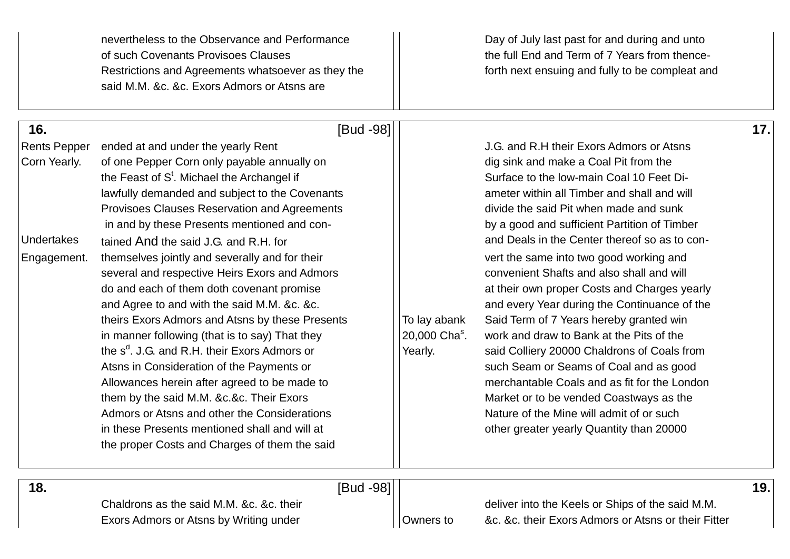|                                     | nevertheless to the Observance and Performance<br>of such Covenants Provisoes Clauses<br>Restrictions and Agreements whatsoever as they the<br>said M.M. &c. &c. Exors Admors or Atsns are                                                                                                                                                                                                                                                                                                                                                                                                    |                                                      | Day of July last past for and during and unto<br>the full End and Term of 7 Years from thence-<br>forth next ensuing and fully to be compleat and                                                                                                                                                                                                                                                                                                                                                                                                                |     |
|-------------------------------------|-----------------------------------------------------------------------------------------------------------------------------------------------------------------------------------------------------------------------------------------------------------------------------------------------------------------------------------------------------------------------------------------------------------------------------------------------------------------------------------------------------------------------------------------------------------------------------------------------|------------------------------------------------------|------------------------------------------------------------------------------------------------------------------------------------------------------------------------------------------------------------------------------------------------------------------------------------------------------------------------------------------------------------------------------------------------------------------------------------------------------------------------------------------------------------------------------------------------------------------|-----|
| 16.                                 | [Bud -98]                                                                                                                                                                                                                                                                                                                                                                                                                                                                                                                                                                                     |                                                      |                                                                                                                                                                                                                                                                                                                                                                                                                                                                                                                                                                  | 17. |
| <b>Rents Pepper</b><br>Corn Yearly. | ended at and under the yearly Rent<br>of one Pepper Corn only payable annually on<br>the Feast of S <sup>t</sup> . Michael the Archangel if<br>lawfully demanded and subject to the Covenants<br>Provisoes Clauses Reservation and Agreements                                                                                                                                                                                                                                                                                                                                                 |                                                      | J.G. and R.H their Exors Admors or Atsns<br>dig sink and make a Coal Pit from the<br>Surface to the low-main Coal 10 Feet Di-<br>ameter within all Timber and shall and will<br>divide the said Pit when made and sunk                                                                                                                                                                                                                                                                                                                                           |     |
| <b>Undertakes</b><br>Engagement.    | in and by these Presents mentioned and con-<br>tained And the said J.G. and R.H. for<br>themselves jointly and severally and for their<br>several and respective Heirs Exors and Admors<br>do and each of them doth covenant promise<br>and Agree to and with the said M.M. &c. &c.<br>theirs Exors Admors and Atsns by these Presents<br>in manner following (that is to say) That they<br>the s <sup>d</sup> . J.G. and R.H. their Exors Admors or<br>Atsns in Consideration of the Payments or<br>Allowances herein after agreed to be made to<br>them by the said M.M. &c.&c. Their Exors | To lay abank<br>20,000 Cha <sup>s</sup> .<br>Yearly. | by a good and sufficient Partition of Timber<br>and Deals in the Center thereof so as to con-<br>vert the same into two good working and<br>convenient Shafts and also shall and will<br>at their own proper Costs and Charges yearly<br>and every Year during the Continuance of the<br>Said Term of 7 Years hereby granted win<br>work and draw to Bank at the Pits of the<br>said Colliery 20000 Chaldrons of Coals from<br>such Seam or Seams of Coal and as good<br>merchantable Coals and as fit for the London<br>Market or to be vended Coastways as the |     |
|                                     | Admors or Atsns and other the Considerations<br>in these Presents mentioned shall and will at<br>the proper Costs and Charges of them the said                                                                                                                                                                                                                                                                                                                                                                                                                                                |                                                      | Nature of the Mine will admit of or such<br>other greater yearly Quantity than 20000                                                                                                                                                                                                                                                                                                                                                                                                                                                                             |     |
| 18.                                 | [Bud -98]<br>Chaldrons as the said M.M. &c. &c. their                                                                                                                                                                                                                                                                                                                                                                                                                                                                                                                                         |                                                      | deliver into the Keels or Ships of the said M.M.                                                                                                                                                                                                                                                                                                                                                                                                                                                                                                                 | 19. |
|                                     | Exors Admors or Atsns by Writing under                                                                                                                                                                                                                                                                                                                                                                                                                                                                                                                                                        | Owners to                                            | &c. &c. their Exors Admors or Atsns or their Fitter                                                                                                                                                                                                                                                                                                                                                                                                                                                                                                              |     |

Exors Admors or Atsns by Writing under **Owners to Ac. &c. their Exors Admors or Atsns or their Fitter**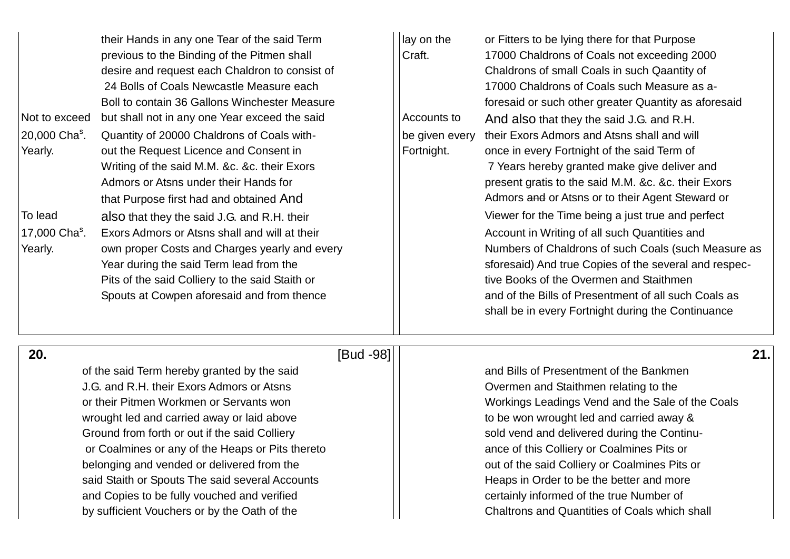| Not to exceed<br>20,000 Cha <sup>s</sup> .<br>Yearly. | their Hands in any one Tear of the said Term<br>previous to the Binding of the Pitmen shall<br>desire and request each Chaldron to consist of<br>24 Bolls of Coals Newcastle Measure each<br>Boll to contain 36 Gallons Winchester Measure<br>but shall not in any one Year exceed the said<br>Quantity of 20000 Chaldrons of Coals with-<br>out the Request Licence and Consent in<br>Writing of the said M.M. &c. &c. their Exors<br>Admors or Atsns under their Hands for<br>that Purpose first had and obtained And | lay on the<br>Craft.<br>Accounts to<br>be given every<br>Fortnight. | or Fitters to be lying there for that Purpose<br>17000 Chaldrons of Coals not exceeding 2000<br>Chaldrons of small Coals in such Qaantity of<br>17000 Chaldrons of Coals such Measure as a-<br>foresaid or such other greater Quantity as aforesaid<br>And also that they the said J.G. and R.H.<br>their Exors Admors and Atsns shall and will<br>once in every Fortnight of the said Term of<br>7 Years hereby granted make give deliver and<br>present gratis to the said M.M. &c. &c. their Exors<br>Admors and or Atsns or to their Agent Steward or |
|-------------------------------------------------------|-------------------------------------------------------------------------------------------------------------------------------------------------------------------------------------------------------------------------------------------------------------------------------------------------------------------------------------------------------------------------------------------------------------------------------------------------------------------------------------------------------------------------|---------------------------------------------------------------------|-----------------------------------------------------------------------------------------------------------------------------------------------------------------------------------------------------------------------------------------------------------------------------------------------------------------------------------------------------------------------------------------------------------------------------------------------------------------------------------------------------------------------------------------------------------|
| To lead<br>17,000 Cha <sup>s</sup> .<br>Yearly.       | also that they the said J.G. and R.H. their<br>Exors Admors or Atsns shall and will at their<br>own proper Costs and Charges yearly and every<br>Year during the said Term lead from the<br>Pits of the said Colliery to the said Staith or<br>Spouts at Cowpen aforesaid and from thence                                                                                                                                                                                                                               |                                                                     | Viewer for the Time being a just true and perfect<br>Account in Writing of all such Quantities and<br>Numbers of Chaldrons of such Coals (such Measure as<br>sforesaid) And true Copies of the several and respec-<br>tive Books of the Overmen and Staithmen<br>and of the Bills of Presentment of all such Coals as<br>shall be in every Fortnight during the Continuance                                                                                                                                                                               |

# of the said Term hereby granted by the said and Dills of Presentment of the Bankmen J.G. and R.H. their Exors Admors or Atsns **If the Contract Admors** Overmen and Staithmen relating to the wrought led and carried away or laid above  $\vert \vert$  to be won wrought led and carried away & Ground from forth or out if the said Colliery sold vend and delivered during the Continuor Coalmines or any of the Heaps or Pits thereto ance of this Colliery or Coalmines Pits or belonging and vended or delivered from the **out of the said Colliery or Coalmines Pits or** belonging and vended or delivered from the said Staith or Spouts The said several Accounts Fig. Accounts Heaps in Order to be the better and more and Copies to be fully vouched and verified and certainly informed of the true Number of

# **20.** [Bud -98] **21.**

# or their Pitmen Workmen or Servants won Workings Leadings Vend and the Sale of the Coals by sufficient Vouchers or by the Oath of the Chaltrons and Quantities of Coals which shall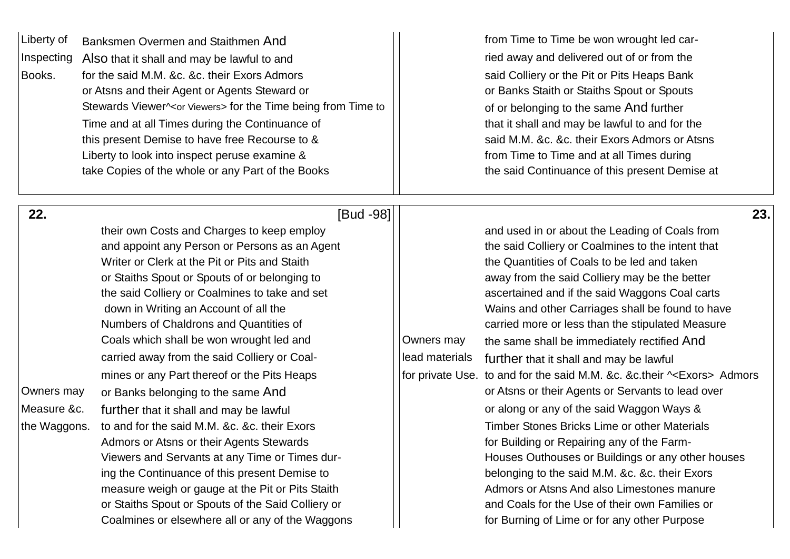| Liberty of<br>Inspecting<br>Books.               | Banksmen Overmen and Staithmen And<br>Also that it shall and may be lawful to and<br>for the said M.M. &c. &c. their Exors Admors<br>or Atsns and their Agent or Agents Steward or<br>Stewards Viewer^ <or viewers=""> for the Time being from Time to<br/>Time and at all Times during the Continuance of<br/>this present Demise to have free Recourse to &amp;<br/>Liberty to look into inspect peruse examine &amp;<br/>take Copies of the whole or any Part of the Books</or>                                                                                                                                                                                                                                                                                                                                                                                                                                                       |                              | from Time to Time be won wrought led car-<br>ried away and delivered out of or from the<br>said Colliery or the Pit or Pits Heaps Bank<br>or Banks Staith or Staiths Spout or Spouts<br>of or belonging to the same And further<br>that it shall and may be lawful to and for the<br>said M.M. &c. &c. their Exors Admors or Atsns<br>from Time to Time and at all Times during<br>the said Continuance of this present Demise at                                                                                                                                                                                                                                                                                                                                                                                                                                                                                                                                                                |
|--------------------------------------------------|------------------------------------------------------------------------------------------------------------------------------------------------------------------------------------------------------------------------------------------------------------------------------------------------------------------------------------------------------------------------------------------------------------------------------------------------------------------------------------------------------------------------------------------------------------------------------------------------------------------------------------------------------------------------------------------------------------------------------------------------------------------------------------------------------------------------------------------------------------------------------------------------------------------------------------------|------------------------------|--------------------------------------------------------------------------------------------------------------------------------------------------------------------------------------------------------------------------------------------------------------------------------------------------------------------------------------------------------------------------------------------------------------------------------------------------------------------------------------------------------------------------------------------------------------------------------------------------------------------------------------------------------------------------------------------------------------------------------------------------------------------------------------------------------------------------------------------------------------------------------------------------------------------------------------------------------------------------------------------------|
| 22.<br>Owners may<br>Measure &c.<br>the Waggons. | [Bud -98]<br>their own Costs and Charges to keep employ<br>and appoint any Person or Persons as an Agent<br>Writer or Clerk at the Pit or Pits and Staith<br>or Staiths Spout or Spouts of or belonging to<br>the said Colliery or Coalmines to take and set<br>down in Writing an Account of all the<br>Numbers of Chaldrons and Quantities of<br>Coals which shall be won wrought led and<br>carried away from the said Colliery or Coal-<br>mines or any Part thereof or the Pits Heaps<br>or Banks belonging to the same And<br>further that it shall and may be lawful<br>to and for the said M.M. &c. &c. their Exors<br>Admors or Atsns or their Agents Stewards<br>Viewers and Servants at any Time or Times dur-<br>ing the Continuance of this present Demise to<br>measure weigh or gauge at the Pit or Pits Staith<br>or Staiths Spout or Spouts of the Said Colliery or<br>Coalmines or elsewhere all or any of the Waggons | Owners may<br>lead materials | 23.<br>and used in or about the Leading of Coals from<br>the said Colliery or Coalmines to the intent that<br>the Quantities of Coals to be led and taken<br>away from the said Colliery may be the better<br>ascertained and if the said Waggons Coal carts<br>Wains and other Carriages shall be found to have<br>carried more or less than the stipulated Measure<br>the same shall be immediately rectified And<br>further that it shall and may be lawful<br>for private Use. to and for the said M.M. &c. &c.their ~< Exors> Admors<br>or Atsns or their Agents or Servants to lead over<br>or along or any of the said Waggon Ways &<br>Timber Stones Bricks Lime or other Materials<br>for Building or Repairing any of the Farm-<br>Houses Outhouses or Buildings or any other houses<br>belonging to the said M.M. &c. &c. their Exors<br>Admors or Atsns And also Limestones manure<br>and Coals for the Use of their own Families or<br>for Burning of Lime or for any other Purpose |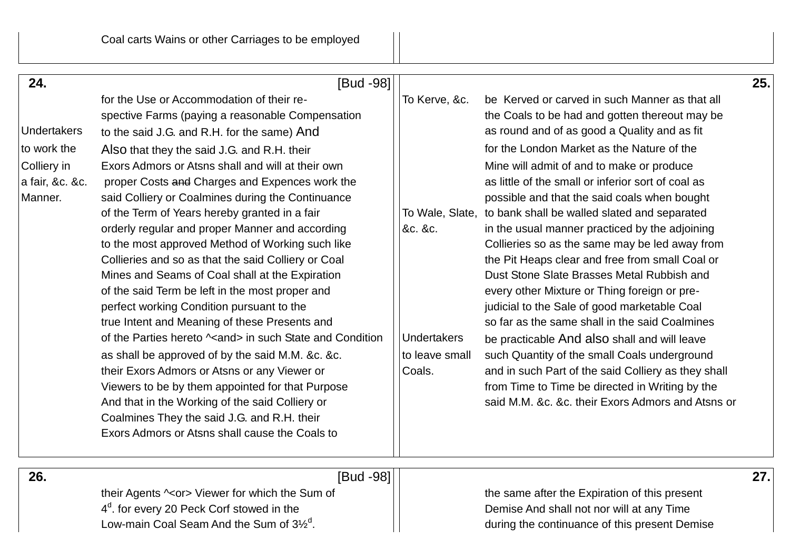| 24.                | [Bud -98]                                                    |                    |                                                              | 25. |
|--------------------|--------------------------------------------------------------|--------------------|--------------------------------------------------------------|-----|
|                    | for the Use or Accommodation of their re-                    | To Kerve, &c.      | be Kerved or carved in such Manner as that all               |     |
|                    | spective Farms (paying a reasonable Compensation             |                    | the Coals to be had and gotten thereout may be               |     |
| <b>Undertakers</b> | to the said J.G. and R.H. for the same) And                  |                    | as round and of as good a Quality and as fit                 |     |
| to work the        | Also that they the said J.G. and R.H. their                  |                    | for the London Market as the Nature of the                   |     |
| Colliery in        | Exors Admors or Atsns shall and will at their own            |                    | Mine will admit of and to make or produce                    |     |
| a fair, &c. &c.    | proper Costs and Charges and Expences work the               |                    | as little of the small or inferior sort of coal as           |     |
| Manner.            | said Colliery or Coalmines during the Continuance            |                    | possible and that the said coals when bought                 |     |
|                    | of the Term of Years hereby granted in a fair                |                    | To Wale, Slate, to bank shall be walled slated and separated |     |
|                    | orderly regular and proper Manner and according              | &c. &c.            | in the usual manner practiced by the adjoining               |     |
|                    | to the most approved Method of Working such like             |                    | Collieries so as the same may be led away from               |     |
|                    | Collieries and so as that the said Colliery or Coal          |                    | the Pit Heaps clear and free from small Coal or              |     |
|                    | Mines and Seams of Coal shall at the Expiration              |                    | Dust Stone Slate Brasses Metal Rubbish and                   |     |
|                    | of the said Term be left in the most proper and              |                    | every other Mixture or Thing foreign or pre-                 |     |
|                    | perfect working Condition pursuant to the                    |                    | judicial to the Sale of good marketable Coal                 |     |
|                    | true Intent and Meaning of these Presents and                |                    | so far as the same shall in the said Coalmines               |     |
|                    | of the Parties hereto $\sim$ and in such State and Condition | <b>Undertakers</b> | be practicable And also shall and will leave                 |     |
|                    | as shall be approved of by the said M.M. &c. &c.             | to leave small     | such Quantity of the small Coals underground                 |     |
|                    | their Exors Admors or Atsns or any Viewer or                 | Coals.             | and in such Part of the said Colliery as they shall          |     |
|                    | Viewers to be by them appointed for that Purpose             |                    | from Time to Time be directed in Writing by the              |     |
|                    | And that in the Working of the said Colliery or              |                    | said M.M. &c. &c. their Exors Admors and Atsns or            |     |
|                    | Coalmines They the said J.G. and R.H. their                  |                    |                                                              |     |
|                    | Exors Admors or Atsns shall cause the Coals to               |                    |                                                              |     |
|                    |                                                              |                    |                                                              |     |

 **26.** [Bud -98] **27.** 

their Agents  $\sim$ or> Viewer for which the Sum of  $\vert$  the same after the Expiration of this present  $4^d$ Low-main Coal Seam And the Sum of  $3\frac{1}{2}$ <sup>d</sup>.

Demise And shall not nor will at any Time . during the continuance of this present Demise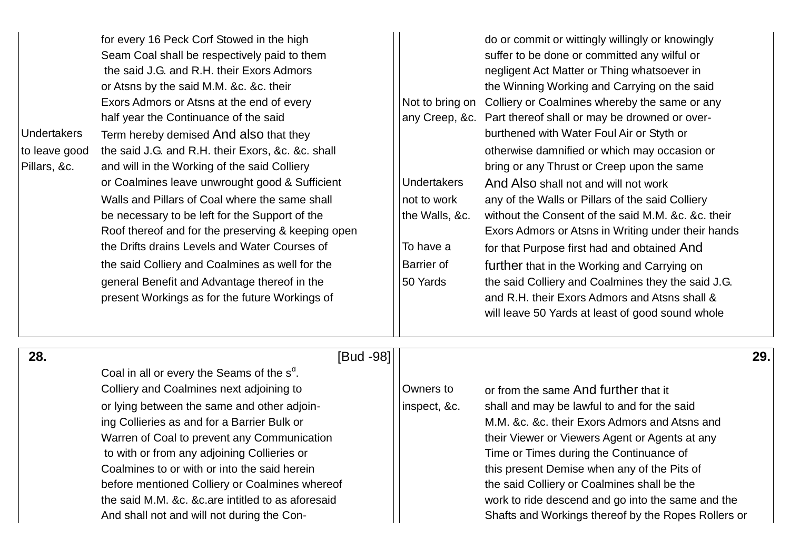|                    | for every 16 Peck Corf Stowed in the high          |                    | do or commit or wittingly willingly or knowingly             |
|--------------------|----------------------------------------------------|--------------------|--------------------------------------------------------------|
|                    | Seam Coal shall be respectively paid to them       |                    | suffer to be done or committed any wilful or                 |
|                    | the said J.G. and R.H. their Exors Admors          |                    | negligent Act Matter or Thing whatsoever in                  |
|                    | or Atsns by the said M.M. &c. &c. their            |                    | the Winning Working and Carrying on the said                 |
|                    | Exors Admors or Atsns at the end of every          |                    | Not to bring on Colliery or Coalmines whereby the same or an |
|                    | half year the Continuance of the said              |                    | any Creep, &c. Part thereof shall or may be drowned or over- |
| <b>Undertakers</b> | Term hereby demised And also that they             |                    | burthened with Water Foul Air or Styth or                    |
| to leave good      | the said J.G. and R.H. their Exors, &c. &c. shall  |                    | otherwise damnified or which may occasion or                 |
| Pillars, &c.       | and will in the Working of the said Colliery       |                    | bring or any Thrust or Creep upon the same                   |
|                    | or Coalmines leave unwrought good & Sufficient     | <b>Undertakers</b> | And Also shall not and will not work                         |
|                    | Walls and Pillars of Coal where the same shall     | not to work        | any of the Walls or Pillars of the said Colliery             |
|                    | be necessary to be left for the Support of the     | the Walls, &c.     | without the Consent of the said M.M. &c. &c. tl              |
|                    | Roof thereof and for the preserving & keeping open |                    | Exors Admors or Atsns in Writing under their h               |
|                    | the Drifts drains Levels and Water Courses of      | To have a          | for that Purpose first had and obtained And                  |
|                    | the said Colliery and Coalmines as well for the    | Barrier of         | further that in the Working and Carrying on                  |
|                    | general Benefit and Advantage thereof in the       | 50 Yards           | the said Colliery and Coalmines they the said.               |
|                    | present Workings as for the future Workings of     |                    | and R.H. their Exors Admors and Atsns shall 8                |
|                    |                                                    |                    | will leave 50 Yards at least of good sound who               |

| for every 16 Peck Corf Stowed in the high          |                    | do or commit or wittingly willingly or knowingly   |
|----------------------------------------------------|--------------------|----------------------------------------------------|
| Seam Coal shall be respectively paid to them       |                    | suffer to be done or committed any wilful or       |
| the said J.G. and R.H. their Exors Admors          |                    | negligent Act Matter or Thing whatsoever in        |
| or Atsns by the said M.M. &c. &c. their            |                    | the Winning Working and Carrying on the said       |
| Exors Admors or Atsns at the end of every          | Not to bring on    | Colliery or Coalmines whereby the same or any      |
| half year the Continuance of the said              | any Creep, &c.     | Part thereof shall or may be drowned or over-      |
| Term hereby demised And also that they             |                    | burthened with Water Foul Air or Styth or          |
| the said J.G. and R.H. their Exors, &c. &c. shall  |                    | otherwise damnified or which may occasion or       |
| and will in the Working of the said Colliery       |                    | bring or any Thrust or Creep upon the same         |
| or Coalmines leave unwrought good & Sufficient     | <b>Undertakers</b> | And Also shall not and will not work               |
| Walls and Pillars of Coal where the same shall     | not to work        | any of the Walls or Pillars of the said Colliery   |
| be necessary to be left for the Support of the     | the Walls, &c.     | without the Consent of the said M.M. &c. &c. their |
| Roof thereof and for the preserving & keeping open |                    | Exors Admors or Atsns in Writing under their hands |
| the Drifts drains Levels and Water Courses of      | To have a          | for that Purpose first had and obtained And        |
| the said Colliery and Coalmines as well for the    | Barrier of         | further that in the Working and Carrying on        |
| general Benefit and Advantage thereof in the       | 50 Yards           | the said Colliery and Coalmines they the said J.G. |
| present Workings as for the future Workings of     |                    | and R.H. their Exors Admors and Atsns shall &      |
|                                                    |                    | will leave 50 Yards at least of good sound whole   |
|                                                    |                    |                                                    |

| 28. | [Bud -98]                                              |              |                                                     | 29. |
|-----|--------------------------------------------------------|--------------|-----------------------------------------------------|-----|
|     | Coal in all or every the Seams of the s <sup>d</sup> . |              |                                                     |     |
|     | Colliery and Coalmines next adjoining to               | Owners to    | or from the same And further that it                |     |
|     | or lying between the same and other adjoin-            | inspect, &c. | shall and may be lawful to and for the said         |     |
|     | ing Collieries as and for a Barrier Bulk or            |              | M.M. &c. &c. their Exors Admors and Atsns and       |     |
|     | Warren of Coal to prevent any Communication            |              | their Viewer or Viewers Agent or Agents at any      |     |
|     | to with or from any adjoining Collieries or            |              | Time or Times during the Continuance of             |     |
|     | Coalmines to or with or into the said herein           |              | this present Demise when any of the Pits of         |     |
|     | before mentioned Colliery or Coalmines whereof         |              | the said Colliery or Coalmines shall be the         |     |
|     | the said M.M. &c. &c.are intitled to as aforesaid      |              | work to ride descend and go into the same and the   |     |
|     | And shall not and will not during the Con-             |              | Shafts and Workings thereof by the Ropes Rollers or |     |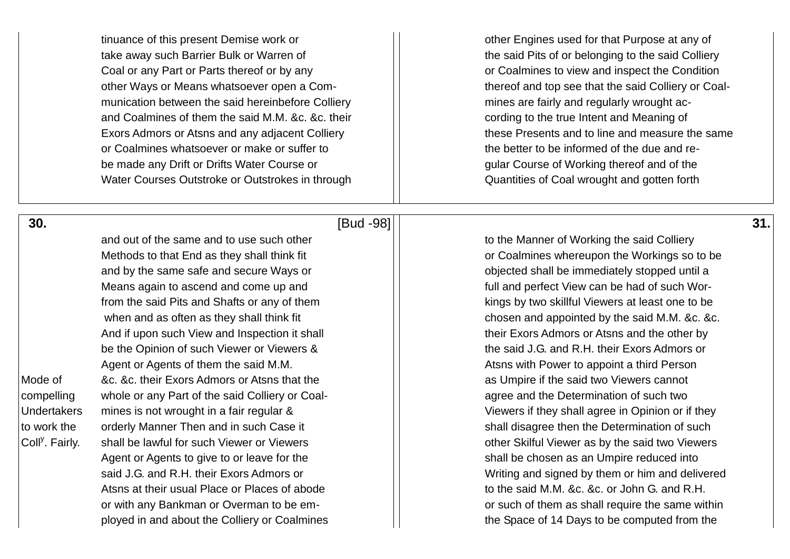tinuance of this present Demise work or **other Engines used for that Purpose at any of** take away such Barrier Bulk or Warren of  $\vert$  the said Pits of or belonging to the said Colliery Coal or any Part or Parts thereof or by any **Coalming and inspect the Condition** other Ways or Means whatsoever open a Com-<br>  $\vert \vert$  thereof and top see that the said Colliery or Coalmunication between the said hereinbefore Colliery and mines are fairly and regularly wrought acand Coalmines of them the said M.M. &c. &c. their example 1 cording to the true Intent and Meaning of Exors Admors or Atsns and any adjacent Colliery **these Presents and to line and measure the same** or Coalmines whatsoever or make or suffer to the better to be informed of the due and rebe made any Drift or Drifts Water Course or Gular Course of Working thereof and of the Water Courses Outstroke or Outstrokes in through  $\Box$  Quantities of Coal wrought and gotten forth

 **30.** [Bud -98] **31.** 

and out of the same and to use such other the to the Manner of Working the said Colliery and by the same safe and secure Ways or **objected shall be immediately stopped until a** and by the same safe and secure Ways or Means again to ascend and come up and  $\vert\vert$  full and perfect View can be had of such Wor-And if upon such View and Inspection it shall the state of their Exors Admors or Atsns and the other by be the Opinion of such Viewer or Viewers & the said J.G. and R.H. their Exors Admors or Agent or Agents of them the said M.M. Atsns with Power to appoint a third Person Mode of 8.c. & c. their Exors Admors or Atsns that the as Umpire if the said two Viewers cannot compelling whole or any Part of the said Colliery or Coal- agree and the Determination of such two Undertakers mines is not wrought in a fair regular & Viewers if they shall agree in Opinion or if they to work the orderly Manner Then and in such Case it shall disagree then the Determination of such Coll<sup>y</sup>. Fairly. Agent or Agents to give to or leave for the shall be chosen as an Umpire reduced into Atsns at their usual Place or Places of abode the said M.M. &c. &c. or John G. and R.H. ployed in and about the Colliery or Coalmines the Space of 14 Days to be computed from the

Methods to that End as they shall think fit **or Coalmines whereupon** the Workings so to be from the said Pits and Shafts or any of them kings by two skillful Viewers at least one to be when and as often as they shall think fit  $\vert$   $\vert$  chosen and appointed by the said M.M. &c. &c. shall be lawful for such Viewer or Viewers **other Skilful Viewer as by the said two Viewers** said J.G. and R.H. their Exors Admors or **Net all and State and State and State and State and State Admors of Atta** or with any Bankman or Overman to be em-<br>  $\vert \vert$  or such of them as shall require the same within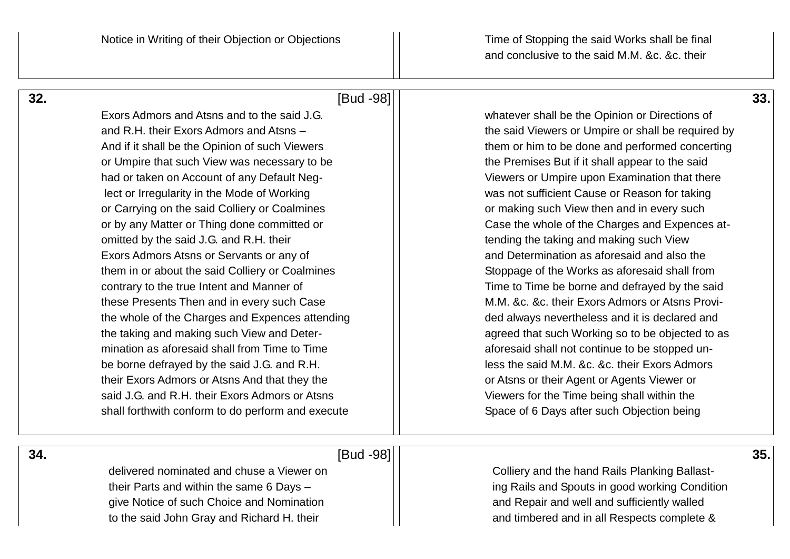and conclusive to the said M.M. &c. &c. their

# **32.** [Bud -98] **33.**

Exors Admors and Atsns and to the said J.G. whatever shall be the Opinion or Directions of and R.H. their Exors Admors and Atsns – the said Viewers or Umpire or shall be required by And if it shall be the Opinion of such Viewers  $\vert \vert$  them or him to be done and performed concerting or Umpire that such View was necessary to be the Tremises But if it shall appear to the said had or taken on Account of any Default Neg-<br>  $\vert \vert$  Viewers or Umpire upon Examination that there lect or Irregularity in the Mode of Working was not sufficient Cause or Reason for taking or Carrying on the said Colliery or Coalmines and in every such and in every such view then and in every such or by any Matter or Thing done committed or  $\vert \vert$  Case the whole of the Charges and Expences atomitted by the said J.G. and R.H. their tending the taking and making such View Exors Admors Atsns or Servants or any of and Determination as aforesaid and also the them in or about the said Colliery or Coalmines  $\vert \vert$  Stoppage of the Works as aforesaid shall from contrary to the true Intent and Manner of Time to Time to Time be borne and defrayed by the said these Presents Then and in every such Case M.M. N.C. &c. their Exors Admors or Atsns Provithe whole of the Charges and Expences attending ded always nevertheless and it is declared and the taking and making such View and Deter- and agreed that such Working so to be objected to as mination as aforesaid shall from Time to Time  $\vert \vert$  aforesaid shall not continue to be stopped unbe borne defraved by the said J.G. and R.H. less the said M.M. &c. &c. their Exors Admors their Exors Admors or Atsns And that they the or Atsns or their Agent or Agents Viewer or said J.G. and R.H. their Exors Admors or Atsns **Viewers for the Time being shall within the** shall forthwith conform to do perform and execute Space of 6 Days after such Objection being

 **34.** [Bud -98] **35.** 

give Notice of such Choice and Nomination and and Repair and well and sufficiently walled

delivered nominated and chuse a Viewer on Table 1 and Colliery and the hand Rails Planking Ballasttheir Parts and within the same 6 Days – ing Rails and Spouts in good working Condition to the said John Gray and Richard H. their and in all Respects complete &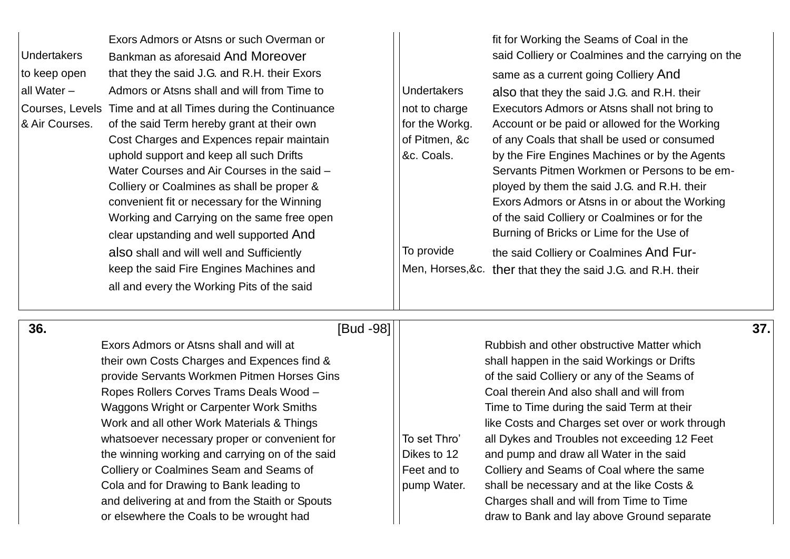| <b>Undertakers</b><br>to keep open<br>all Water -<br>& Air Courses. | Exors Admors or Atsns or such Overman or<br>Bankman as aforesaid And Moreover<br>that they the said J.G. and R.H. their Exors<br>Admors or Atsns shall and will from Time to<br>Courses, Levels Time and at all Times during the Continuance<br>of the said Term hereby grant at their own<br>Cost Charges and Expences repair maintain<br>uphold support and keep all such Drifts<br>Water Courses and Air Courses in the said -<br>Colliery or Coalmines as shall be proper &<br>convenient fit or necessary for the Winning<br>Working and Carrying on the same free open<br>clear upstanding and well supported And<br>also shall and will well and Sufficiently<br>keep the said Fire Engines Machines and<br>all and every the Working Pits of the said | <b>Undertakers</b><br>not to charge<br>for the Workg.<br>of Pitmen, &c<br>&c. Coals.<br>To provide<br>Men, Horses, &c. | fit for Working the Seams of Coal in the<br>said Colliery or Coalmines and the carrying on the<br>same as a current going Colliery And<br>also that they the said J.G. and R.H. their<br>Executors Admors or Atsns shall not bring to<br>Account or be paid or allowed for the Working<br>of any Coals that shall be used or consumed<br>by the Fire Engines Machines or by the Agents<br>Servants Pitmen Workmen or Persons to be em-<br>ployed by them the said J.G. and R.H. their<br>Exors Admors or Atsns in or about the Working<br>of the said Colliery or Coalmines or for the<br>Burning of Bricks or Lime for the Use of<br>the said Colliery or Coalmines And Fur-<br>ther that they the said J.G. and R.H. their |     |
|---------------------------------------------------------------------|---------------------------------------------------------------------------------------------------------------------------------------------------------------------------------------------------------------------------------------------------------------------------------------------------------------------------------------------------------------------------------------------------------------------------------------------------------------------------------------------------------------------------------------------------------------------------------------------------------------------------------------------------------------------------------------------------------------------------------------------------------------|------------------------------------------------------------------------------------------------------------------------|------------------------------------------------------------------------------------------------------------------------------------------------------------------------------------------------------------------------------------------------------------------------------------------------------------------------------------------------------------------------------------------------------------------------------------------------------------------------------------------------------------------------------------------------------------------------------------------------------------------------------------------------------------------------------------------------------------------------------|-----|
| 36.                                                                 | [Bud -98]<br>Exors Admors or Atsns shall and will at<br>their own Costs Charges and Expences find &<br>provide Servants Workmen Pitmen Horses Gins<br>Ropes Rollers Corves Trams Deals Wood -<br>Waggons Wright or Carpenter Work Smiths<br>Work and all other Work Materials & Things<br>whatsoever necessary proper or convenient for<br>the winning working and carrying on of the said<br>Colliery or Coalmines Seam and Seams of<br>Cola and for Drawing to Bank leading to<br>and delivering at and from the Staith or Spouts<br>or elsewhere the Coals to be wrought had                                                                                                                                                                               | To set Thro'<br>Dikes to 12<br>Feet and to<br>pump Water.                                                              | Rubbish and other obstructive Matter which<br>shall happen in the said Workings or Drifts<br>of the said Colliery or any of the Seams of<br>Coal therein And also shall and will from<br>Time to Time during the said Term at their<br>like Costs and Charges set over or work through<br>all Dykes and Troubles not exceeding 12 Feet<br>and pump and draw all Water in the said<br>Colliery and Seams of Coal where the same<br>shall be necessary and at the like Costs &<br>Charges shall and will from Time to Time<br>draw to Bank and lay above Ground separate                                                                                                                                                       | 37. |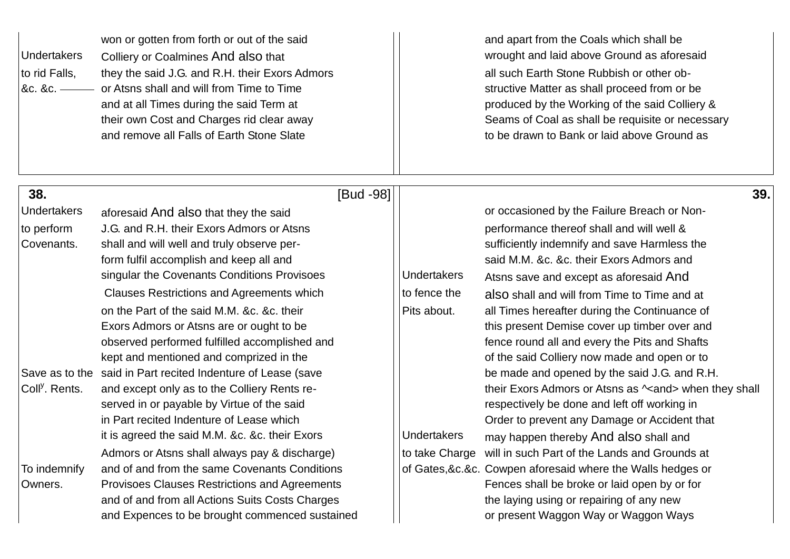| <b>Undertakers</b><br>to rid Falls,<br>&c. &c. —— | won or gotten from forth or out of the said<br>Colliery or Coalmines And also that<br>they the said J.G. and R.H. their Exors Admors<br>or Atsns shall and will from Time to Time<br>and at all Times during the said Term at<br>their own Cost and Charges rid clear away<br>and remove all Falls of Earth Stone Slate |                    | and apart from the Coals which shall be<br>wrought and laid above Ground as aforesaid<br>all such Earth Stone Rubbish or other ob-<br>structive Matter as shall proceed from or be<br>produced by the Working of the said Colliery &<br>Seams of Coal as shall be requisite or necessary<br>to be drawn to Bank or laid above Ground as |
|---------------------------------------------------|-------------------------------------------------------------------------------------------------------------------------------------------------------------------------------------------------------------------------------------------------------------------------------------------------------------------------|--------------------|-----------------------------------------------------------------------------------------------------------------------------------------------------------------------------------------------------------------------------------------------------------------------------------------------------------------------------------------|
| 38.                                               | [Bud -98]                                                                                                                                                                                                                                                                                                               |                    | 39.                                                                                                                                                                                                                                                                                                                                     |
| <b>Undertakers</b>                                | aforesaid And also that they the said                                                                                                                                                                                                                                                                                   |                    | or occasioned by the Failure Breach or Non-                                                                                                                                                                                                                                                                                             |
| to perform                                        | J.G. and R.H. their Exors Admors or Atsns                                                                                                                                                                                                                                                                               |                    | performance thereof shall and will well &                                                                                                                                                                                                                                                                                               |
| Covenants.                                        | shall and will well and truly observe per-                                                                                                                                                                                                                                                                              |                    | sufficiently indemnify and save Harmless the                                                                                                                                                                                                                                                                                            |
|                                                   | form fulfil accomplish and keep all and                                                                                                                                                                                                                                                                                 |                    | said M.M. &c. &c. their Exors Admors and                                                                                                                                                                                                                                                                                                |
|                                                   | singular the Covenants Conditions Provisoes                                                                                                                                                                                                                                                                             | <b>Undertakers</b> | Atsns save and except as aforesaid And                                                                                                                                                                                                                                                                                                  |
|                                                   | <b>Clauses Restrictions and Agreements which</b>                                                                                                                                                                                                                                                                        | to fence the       | also shall and will from Time to Time and at                                                                                                                                                                                                                                                                                            |
|                                                   | on the Part of the said M.M. &c. &c. their                                                                                                                                                                                                                                                                              | Pits about.        | all Times hereafter during the Continuance of                                                                                                                                                                                                                                                                                           |
|                                                   | Exors Admors or Atsns are or ought to be                                                                                                                                                                                                                                                                                |                    | this present Demise cover up timber over and                                                                                                                                                                                                                                                                                            |
|                                                   | observed performed fulfilled accomplished and                                                                                                                                                                                                                                                                           |                    | fence round all and every the Pits and Shafts                                                                                                                                                                                                                                                                                           |
|                                                   | kept and mentioned and comprized in the                                                                                                                                                                                                                                                                                 |                    | of the said Colliery now made and open or to                                                                                                                                                                                                                                                                                            |
|                                                   | Save as to the said in Part recited Indenture of Lease (save                                                                                                                                                                                                                                                            |                    | be made and opened by the said J.G. and R.H.                                                                                                                                                                                                                                                                                            |
| Coll <sup>y</sup> . Rents.                        | and except only as to the Colliery Rents re-                                                                                                                                                                                                                                                                            |                    | their Exors Admors or Atsns as $\sim$ and > when they shall                                                                                                                                                                                                                                                                             |
|                                                   | served in or payable by Virtue of the said                                                                                                                                                                                                                                                                              |                    | respectively be done and left off working in                                                                                                                                                                                                                                                                                            |
|                                                   | in Part recited Indenture of Lease which                                                                                                                                                                                                                                                                                |                    | Order to prevent any Damage or Accident that                                                                                                                                                                                                                                                                                            |
|                                                   | it is agreed the said M.M. &c. &c. their Exors                                                                                                                                                                                                                                                                          | <b>Undertakers</b> | may happen thereby And also shall and                                                                                                                                                                                                                                                                                                   |
|                                                   | Admors or Atsns shall always pay & discharge)                                                                                                                                                                                                                                                                           |                    | to take Charge will in such Part of the Lands and Grounds at                                                                                                                                                                                                                                                                            |
| To indemnify                                      | and of and from the same Covenants Conditions                                                                                                                                                                                                                                                                           |                    | of Gates, &c. &c. Cowpen aforesaid where the Walls hedges or                                                                                                                                                                                                                                                                            |
| Owners.                                           | Provisoes Clauses Restrictions and Agreements                                                                                                                                                                                                                                                                           |                    | Fences shall be broke or laid open by or for                                                                                                                                                                                                                                                                                            |
|                                                   | and of and from all Actions Suits Costs Charges                                                                                                                                                                                                                                                                         |                    | the laying using or repairing of any new                                                                                                                                                                                                                                                                                                |
|                                                   | and Expences to be brought commenced sustained                                                                                                                                                                                                                                                                          |                    | or present Waggon Way or Waggon Ways                                                                                                                                                                                                                                                                                                    |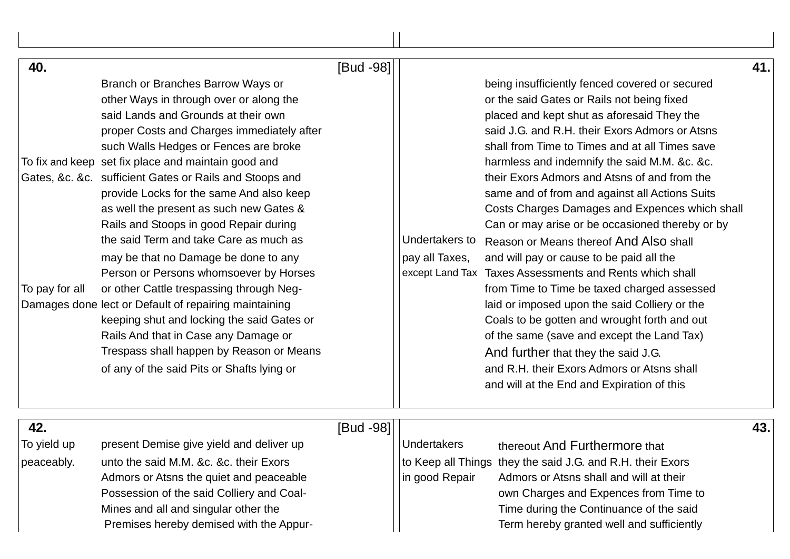| 40.<br>To pay for all            | Branch or Branches Barrow Ways or<br>other Ways in through over or along the<br>said Lands and Grounds at their own<br>proper Costs and Charges immediately after<br>such Walls Hedges or Fences are broke<br>To fix and keep set fix place and maintain good and<br>Gates, &c. &c. sufficient Gates or Rails and Stoops and<br>provide Locks for the same And also keep<br>as well the present as such new Gates &<br>Rails and Stoops in good Repair during<br>the said Term and take Care as much as<br>may be that no Damage be done to any<br>Person or Persons whomsoever by Horses<br>or other Cattle trespassing through Neg-<br>Damages done lect or Default of repairing maintaining<br>keeping shut and locking the said Gates or<br>Rails And that in Case any Damage or<br>Trespass shall happen by Reason or Means<br>of any of the said Pits or Shafts lying or | [Bud -98] | Undertakers to<br>pay all Taxes, | being insufficiently fenced covered or secured<br>or the said Gates or Rails not being fixed<br>placed and kept shut as aforesaid They the<br>said J.G. and R.H. their Exors Admors or Atsns<br>shall from Time to Times and at all Times save<br>harmless and indemnify the said M.M. &c. &c.<br>their Exors Admors and Atsns of and from the<br>same and of from and against all Actions Suits<br>Costs Charges Damages and Expences which shall<br>Can or may arise or be occasioned thereby or by<br>Reason or Means thereof And Also shall<br>and will pay or cause to be paid all the<br>except Land Tax Taxes Assessments and Rents which shall<br>from Time to Time be taxed charged assessed<br>laid or imposed upon the said Colliery or the<br>Coals to be gotten and wrought forth and out<br>of the same (save and except the Land Tax)<br>And further that they the said J.G.<br>and R.H. their Exors Admors or Atsns shall<br>and will at the End and Expiration of this | 41. |
|----------------------------------|--------------------------------------------------------------------------------------------------------------------------------------------------------------------------------------------------------------------------------------------------------------------------------------------------------------------------------------------------------------------------------------------------------------------------------------------------------------------------------------------------------------------------------------------------------------------------------------------------------------------------------------------------------------------------------------------------------------------------------------------------------------------------------------------------------------------------------------------------------------------------------|-----------|----------------------------------|-----------------------------------------------------------------------------------------------------------------------------------------------------------------------------------------------------------------------------------------------------------------------------------------------------------------------------------------------------------------------------------------------------------------------------------------------------------------------------------------------------------------------------------------------------------------------------------------------------------------------------------------------------------------------------------------------------------------------------------------------------------------------------------------------------------------------------------------------------------------------------------------------------------------------------------------------------------------------------------------|-----|
| 42.<br>To yield up<br>peaceably. | present Demise give yield and deliver up<br>unto the said M.M. &c. &c. their Exors<br>Admors or Atsns the quiet and peaceable<br>Possession of the said Colliery and Coal-<br>Mines and all and singular other the<br>Premises hereby demised with the Appur-                                                                                                                                                                                                                                                                                                                                                                                                                                                                                                                                                                                                                  | [Bud -98] | Undertakers<br>in good Repair    | thereout And Furthermore that<br>to Keep all Things they the said J.G. and R.H. their Exors<br>Admors or Atsns shall and will at their<br>own Charges and Expences from Time to<br>Time during the Continuance of the said<br>Term hereby granted well and sufficiently                                                                                                                                                                                                                                                                                                                                                                                                                                                                                                                                                                                                                                                                                                                 | 43. |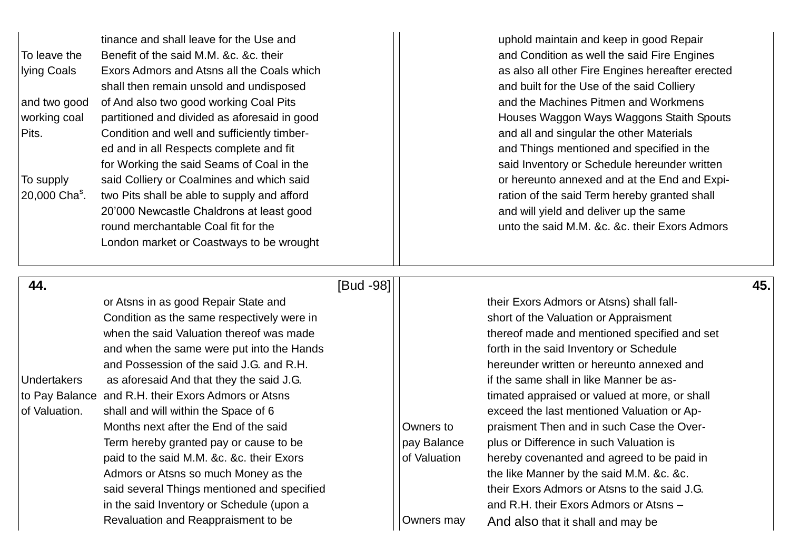|                           | tinance and shall leave for the Use and      |
|---------------------------|----------------------------------------------|
| To leave the              | Benefit of the said M.M. &c. &c. their       |
| lying Coals               | Exors Admors and Atsns all the Coals which   |
|                           | shall then remain unsold and undisposed      |
| and two good              | of And also two good working Coal Pits       |
| working coal              | partitioned and divided as aforesaid in good |
| Pits.                     | Condition and well and sufficiently timber-  |
|                           | ed and in all Respects complete and fit      |
|                           | for Working the said Seams of Coal in the    |
| To supply                 | said Colliery or Coalmines and which said    |
| 20,000 Cha <sup>s</sup> . | two Pits shall be able to supply and afford  |
|                           | 20'000 Newcastle Chaldrons at least good     |
|                           | round merchantable Coal fit for the          |
|                           | London market or Coastways to be wrought     |
|                           |                                              |

uphold maintain and keep in good Repair and Condition as well the said Fire Engines as also all other Fire Engines hereafter erected and built for the Use of the said Colliery and the Machines Pitmen and Workmens Houses Waggon Ways Waggons Staith Spouts and all and singular the other Materials and Things mentioned and specified in the said Inventory or Schedule hereunder written or hereunto annexed and at the End and Expiration of the said Term hereby granted shall and will yield and deliver up the same unto the said M.M. &c. &c. their Exors Admors

| 44.                |                                                     | [Bud -98] |              |                                               | 45.1 |
|--------------------|-----------------------------------------------------|-----------|--------------|-----------------------------------------------|------|
|                    | or Atsns in as good Repair State and                |           |              | their Exors Admors or Atsns) shall fall-      |      |
|                    | Condition as the same respectively were in          |           |              | short of the Valuation or Appraisment         |      |
|                    | when the said Valuation thereof was made            |           |              | thereof made and mentioned specified and set  |      |
|                    | and when the same were put into the Hands           |           |              | forth in the said Inventory or Schedule       |      |
|                    | and Possession of the said J.G. and R.H.            |           |              | hereunder written or hereunto annexed and     |      |
| <b>Undertakers</b> | as aforesaid And that they the said J.G.            |           |              | if the same shall in like Manner be as-       |      |
|                    | to Pay Balance and R.H. their Exors Admors or Atsns |           |              | timated appraised or valued at more, or shall |      |
| of Valuation.      | shall and will within the Space of 6                |           |              | exceed the last mentioned Valuation or Ap-    |      |
|                    | Months next after the End of the said               |           | Owners to    | praisment Then and in such Case the Over-     |      |
|                    | Term hereby granted pay or cause to be              |           | pay Balance  | plus or Difference in such Valuation is       |      |
|                    | paid to the said M.M. &c. &c. their Exors           |           | of Valuation | hereby covenanted and agreed to be paid in    |      |
|                    | Admors or Atsns so much Money as the                |           |              | the like Manner by the said M.M. &c. &c.      |      |
|                    | said several Things mentioned and specified         |           |              | their Exors Admors or Atsns to the said J.G.  |      |
|                    | in the said Inventory or Schedule (upon a           |           |              | and R.H. their Exors Admors or Atsns -        |      |
|                    | Revaluation and Reappraisment to be                 |           | Owners may   | And also that it shall and may be             |      |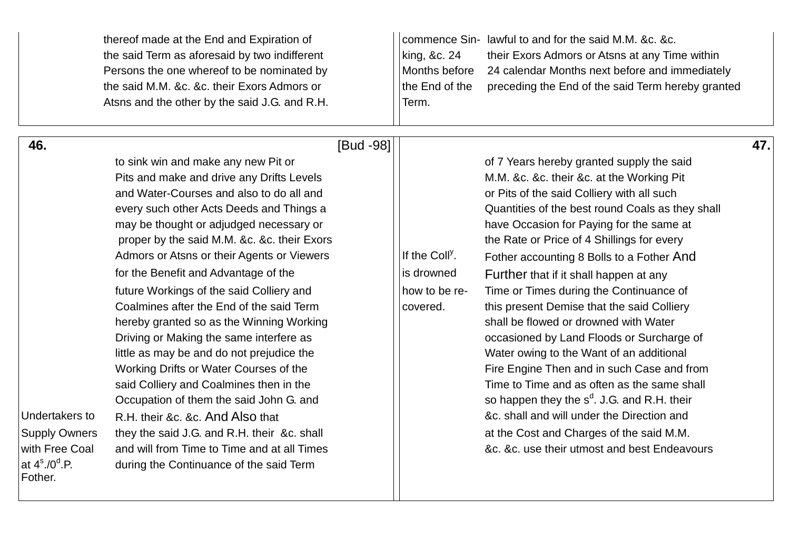| thereof made at the End and Expiration of<br>the said Term as aforesaid by two indifferent<br>Persons the one whereof to be nominated by<br>the said M.M. &c. &c. their Exors Admors or<br>Atsns and the other by the said J.G. and R.H.                                                                                                                                                                                                                                                                                                                                                                                                                                                                                                                                                                                                                                                                                                                                                                               |           | king, &c. 24<br>Months before<br>the End of the<br>Term.              | commence Sin-lawful to and for the said M.M. &c. &c.<br>their Exors Admors or Atsns at any Time within<br>24 calendar Months next before and immediately<br>preceding the End of the said Term hereby granted                                                                                                                                                                                                                                                                                                                                                                                                                                                                                                                                                                                                                                                                                 |     |
|------------------------------------------------------------------------------------------------------------------------------------------------------------------------------------------------------------------------------------------------------------------------------------------------------------------------------------------------------------------------------------------------------------------------------------------------------------------------------------------------------------------------------------------------------------------------------------------------------------------------------------------------------------------------------------------------------------------------------------------------------------------------------------------------------------------------------------------------------------------------------------------------------------------------------------------------------------------------------------------------------------------------|-----------|-----------------------------------------------------------------------|-----------------------------------------------------------------------------------------------------------------------------------------------------------------------------------------------------------------------------------------------------------------------------------------------------------------------------------------------------------------------------------------------------------------------------------------------------------------------------------------------------------------------------------------------------------------------------------------------------------------------------------------------------------------------------------------------------------------------------------------------------------------------------------------------------------------------------------------------------------------------------------------------|-----|
| 46.<br>to sink win and make any new Pit or<br>Pits and make and drive any Drifts Levels<br>and Water-Courses and also to do all and<br>every such other Acts Deeds and Things a<br>may be thought or adjudged necessary or<br>proper by the said M.M. &c. &c. their Exors<br>Admors or Atsns or their Agents or Viewers<br>for the Benefit and Advantage of the<br>future Workings of the said Colliery and<br>Coalmines after the End of the said Term<br>hereby granted so as the Winning Working<br>Driving or Making the same interfere as<br>little as may be and do not prejudice the<br>Working Drifts or Water Courses of the<br>said Colliery and Coalmines then in the<br>Occupation of them the said John G. and<br>Undertakers to<br>R.H. their &c. &c. And Also that<br>they the said J.G. and R.H. their &c. shall<br><b>Supply Owners</b><br>with Free Coal<br>and will from Time to Time and at all Times<br>at $4^{\circ}$ ./0 <sup>d</sup> .P.<br>during the Continuance of the said Term<br>Fother. | [Bud -98] | If the Coll <sup>y</sup> .<br>is drowned<br>how to be re-<br>covered. | of 7 Years hereby granted supply the said<br>M.M. &c. &c. their &c. at the Working Pit<br>or Pits of the said Colliery with all such<br>Quantities of the best round Coals as they shall<br>have Occasion for Paying for the same at<br>the Rate or Price of 4 Shillings for every<br>Fother accounting 8 Bolls to a Fother And<br>Further that if it shall happen at any<br>Time or Times during the Continuance of<br>this present Demise that the said Colliery<br>shall be flowed or drowned with Water<br>occasioned by Land Floods or Surcharge of<br>Water owing to the Want of an additional<br>Fire Engine Then and in such Case and from<br>Time to Time and as often as the same shall<br>so happen they the $s^d$ . J.G. and R.H. their<br>&c. shall and will under the Direction and<br>at the Cost and Charges of the said M.M.<br>&c. &c. use their utmost and best Endeavours | 47. |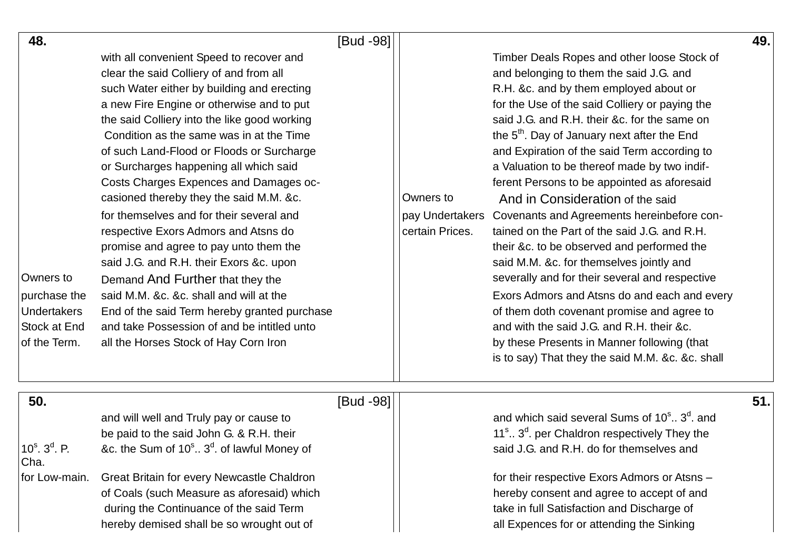| 48.                                         |                                                                    | [Bud -98] |                 |                                                                        | 49. |
|---------------------------------------------|--------------------------------------------------------------------|-----------|-----------------|------------------------------------------------------------------------|-----|
|                                             | with all convenient Speed to recover and                           |           |                 | Timber Deals Ropes and other loose Stock of                            |     |
|                                             | clear the said Colliery of and from all                            |           |                 | and belonging to them the said J.G. and                                |     |
|                                             | such Water either by building and erecting                         |           |                 | R.H. &c. and by them employed about or                                 |     |
|                                             | a new Fire Engine or otherwise and to put                          |           |                 | for the Use of the said Colliery or paying the                         |     |
|                                             | the said Colliery into the like good working                       |           |                 | said J.G. and R.H. their &c. for the same on                           |     |
|                                             | Condition as the same was in at the Time                           |           |                 | the 5 <sup>th</sup> . Day of January next after the End                |     |
|                                             | of such Land-Flood or Floods or Surcharge                          |           |                 | and Expiration of the said Term according to                           |     |
|                                             | or Surcharges happening all which said                             |           |                 | a Valuation to be thereof made by two indif-                           |     |
|                                             | Costs Charges Expences and Damages oc-                             |           |                 | ferent Persons to be appointed as aforesaid                            |     |
|                                             | casioned thereby they the said M.M. &c.                            |           | Owners to       | And in Consideration of the said                                       |     |
|                                             | for themselves and for their several and                           |           |                 | pay Undertakers Covenants and Agreements hereinbefore con-             |     |
|                                             | respective Exors Admors and Atsns do                               |           | certain Prices. | tained on the Part of the said J.G. and R.H.                           |     |
|                                             | promise and agree to pay unto them the                             |           |                 | their &c. to be observed and performed the                             |     |
|                                             | said J.G. and R.H. their Exors &c. upon                            |           |                 | said M.M. &c. for themselves jointly and                               |     |
| Owners to                                   | Demand And Further that they the                                   |           |                 | severally and for their several and respective                         |     |
| purchase the                                | said M.M. &c. &c. shall and will at the                            |           |                 | Exors Admors and Atsns do and each and every                           |     |
| <b>Undertakers</b>                          | End of the said Term hereby granted purchase                       |           |                 | of them doth covenant promise and agree to                             |     |
| Stock at End                                | and take Possession of and be intitled unto                        |           |                 | and with the said J.G. and R.H. their &c.                              |     |
| of the Term.                                | all the Horses Stock of Hay Corn Iron                              |           |                 | by these Presents in Manner following (that                            |     |
|                                             |                                                                    |           |                 | is to say) That they the said M.M. &c. &c. shall                       |     |
|                                             |                                                                    |           |                 |                                                                        |     |
| 50.                                         |                                                                    | [Bud -98] |                 |                                                                        | 51. |
|                                             | and will well and Truly pay or cause to                            |           |                 | and which said several Sums of 10 <sup>s</sup> ., 3 <sup>d</sup> , and |     |
|                                             | be paid to the said John G. & R.H. their                           |           |                 | 11 <sup>s</sup> 3 <sup>d</sup> . per Chaldron respectively They the    |     |
| 10 $^{\circ}$ . 3 <sup>d</sup> . P.<br>Cha. | &c. the Sum of 10 <sup>s</sup> 3 <sup>d</sup> . of lawful Money of |           |                 | said J.G. and R.H. do for themselves and                               |     |
| for Low-main.                               | Great Britain for every Newcastle Chaldron                         |           |                 | for their respective Exors Admors or Atsns -                           |     |
|                                             | of Coals (such Measure as aforesaid) which                         |           |                 | hereby consent and agree to accept of and                              |     |
|                                             | during the Continuance of the said Term                            |           |                 | take in full Satisfaction and Discharge of                             |     |
|                                             | hereby demised shall be so wrought out of                          |           |                 | all Expences for or attending the Sinking                              |     |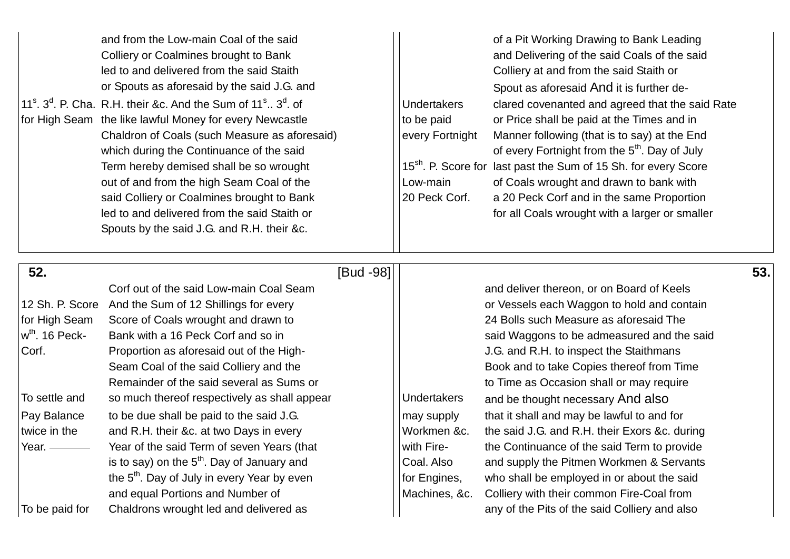|  | and from the Low-main Coal of the said<br>Colliery or Coalmines brought to Bank<br>led to and delivered from the said Staith<br>or Spouts as aforesaid by the said J.G. and<br>$11s$ , $3d$ , P. Cha. R.H. their &c. And the Sum of $11s$ . $3d$ , of<br>for High Seam the like lawful Money for every Newcastle<br>Chaldron of Coals (such Measure as aforesaid)<br>which during the Continuance of the said<br>Term hereby demised shall be so wrought<br>out of and from the high Seam Coal of the<br>said Colliery or Coalmines brought to Bank<br>led to and delivered from the said Staith or<br>Spouts by the said J.G. and R.H. their &c. | <b>Undertakers</b><br>to be paid<br>every Fortnight<br>Low-main<br>20 Peck Corf. | of a Pit Working Drawing to Bank Leading<br>and Delivering of the said Coals of the said<br>Colliery at and from the said Staith or<br>Spout as aforesaid And it is further de-<br>clared covenanted and agreed that the said Rate<br>or Price shall be paid at the Times and in<br>Manner following (that is to say) at the End<br>of every Fortnight from the 5 <sup>th</sup> . Day of July<br>15 <sup>sh</sup> . P. Score for last past the Sum of 15 Sh. for every Score<br>of Coals wrought and drawn to bank with<br>a 20 Peck Corf and in the same Proportion<br>for all Coals wrought with a larger or smaller |
|--|---------------------------------------------------------------------------------------------------------------------------------------------------------------------------------------------------------------------------------------------------------------------------------------------------------------------------------------------------------------------------------------------------------------------------------------------------------------------------------------------------------------------------------------------------------------------------------------------------------------------------------------------------|----------------------------------------------------------------------------------|------------------------------------------------------------------------------------------------------------------------------------------------------------------------------------------------------------------------------------------------------------------------------------------------------------------------------------------------------------------------------------------------------------------------------------------------------------------------------------------------------------------------------------------------------------------------------------------------------------------------|
|--|---------------------------------------------------------------------------------------------------------------------------------------------------------------------------------------------------------------------------------------------------------------------------------------------------------------------------------------------------------------------------------------------------------------------------------------------------------------------------------------------------------------------------------------------------------------------------------------------------------------------------------------------------|----------------------------------------------------------------------------------|------------------------------------------------------------------------------------------------------------------------------------------------------------------------------------------------------------------------------------------------------------------------------------------------------------------------------------------------------------------------------------------------------------------------------------------------------------------------------------------------------------------------------------------------------------------------------------------------------------------------|

| 52.                                            |                                                         | [Bud -98]          |                                               | 53. |
|------------------------------------------------|---------------------------------------------------------|--------------------|-----------------------------------------------|-----|
|                                                | Corf out of the said Low-main Coal Seam                 |                    | and deliver thereon, or on Board of Keels     |     |
| 12 Sh. P. Score                                | And the Sum of 12 Shillings for every                   |                    | or Vessels each Waggon to hold and contain    |     |
| for High Seam                                  | Score of Coals wrought and drawn to                     |                    | 24 Bolls such Measure as aforesaid The        |     |
| w <sup>th</sup> . 16 Peck-                     | Bank with a 16 Peck Corf and so in                      |                    | said Waggons to be admeasured and the said    |     |
| Corf.                                          | Proportion as aforesaid out of the High-                |                    | J.G. and R.H. to inspect the Staithmans       |     |
|                                                | Seam Coal of the said Colliery and the                  |                    | Book and to take Copies thereof from Time     |     |
|                                                | Remainder of the said several as Sums or                |                    | to Time as Occasion shall or may require      |     |
| To settle and                                  | so much thereof respectively as shall appear            | <b>Undertakers</b> | and be thought necessary And also             |     |
| Pay Balance                                    | to be due shall be paid to the said J.G.                | may supply         | that it shall and may be lawful to and for    |     |
| twice in the                                   | and R.H. their &c. at two Days in every                 | Workmen &c.        | the said J.G. and R.H. their Exors &c. during |     |
| Year. $\overline{\phantom{iiiiiiiiiiiiiiiii}}$ | Year of the said Term of seven Years (that              | with Fire-         | the Continuance of the said Term to provide   |     |
|                                                | is to say) on the $5th$ . Day of January and            | Coal. Also         | and supply the Pitmen Workmen & Servants      |     |
|                                                | the 5 <sup>th</sup> . Day of July in every Year by even | for Engines,       | who shall be employed in or about the said    |     |
|                                                | and equal Portions and Number of                        | Machines, &c.      | Colliery with their common Fire-Coal from     |     |
| To be paid for                                 | Chaldrons wrought led and delivered as                  |                    | any of the Pits of the said Colliery and also |     |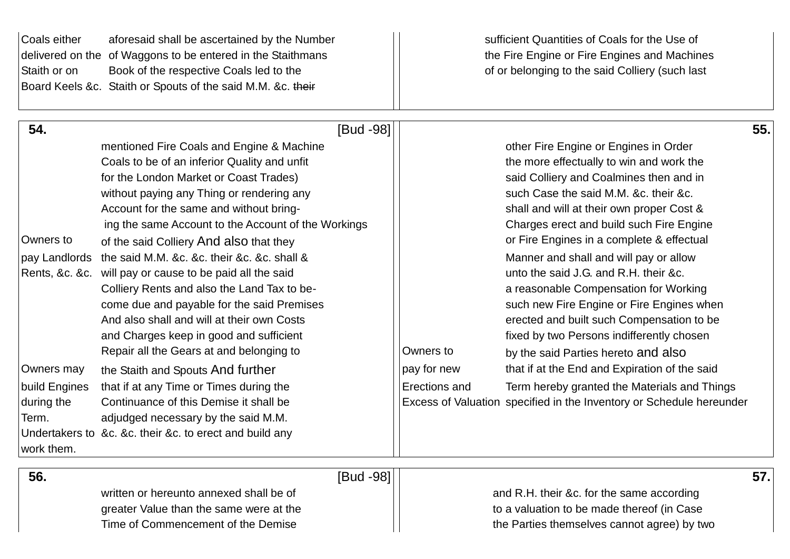| Coals either<br>Staith or on | aforesaid shall be ascertained by the Number<br>delivered on the of Waggons to be entered in the Staithmans<br>Book of the respective Coals led to the |               | sufficient Quantities of Coals for the Use of<br>the Fire Engine or Fire Engines and Machines<br>of or belonging to the said Colliery (such last |
|------------------------------|--------------------------------------------------------------------------------------------------------------------------------------------------------|---------------|--------------------------------------------------------------------------------------------------------------------------------------------------|
|                              | Board Keels &c. Staith or Spouts of the said M.M. &c. their                                                                                            |               |                                                                                                                                                  |
| 54.                          | [Bud -98]                                                                                                                                              |               | 55.                                                                                                                                              |
|                              | mentioned Fire Coals and Engine & Machine                                                                                                              |               | other Fire Engine or Engines in Order                                                                                                            |
|                              | Coals to be of an inferior Quality and unfit                                                                                                           |               | the more effectually to win and work the                                                                                                         |
|                              | for the London Market or Coast Trades)                                                                                                                 |               | said Colliery and Coalmines then and in                                                                                                          |
|                              | without paying any Thing or rendering any                                                                                                              |               | such Case the said M.M. &c. their &c.                                                                                                            |
|                              | Account for the same and without bring-                                                                                                                |               | shall and will at their own proper Cost &                                                                                                        |
|                              | ing the same Account to the Account of the Workings                                                                                                    |               | Charges erect and build such Fire Engine                                                                                                         |
| Owners to                    | of the said Colliery And also that they                                                                                                                |               | or Fire Engines in a complete & effectual                                                                                                        |
| pay Landlords                | the said M.M. &c. &c. their &c. &c. shall &                                                                                                            |               | Manner and shall and will pay or allow                                                                                                           |
| Rents, &c. &c.               | will pay or cause to be paid all the said                                                                                                              |               | unto the said J.G. and R.H. their &c.                                                                                                            |
|                              | Colliery Rents and also the Land Tax to be-                                                                                                            |               | a reasonable Compensation for Working                                                                                                            |
|                              | come due and payable for the said Premises                                                                                                             |               | such new Fire Engine or Fire Engines when                                                                                                        |
|                              | And also shall and will at their own Costs                                                                                                             |               | erected and built such Compensation to be                                                                                                        |
|                              | and Charges keep in good and sufficient                                                                                                                |               | fixed by two Persons indifferently chosen                                                                                                        |
|                              | Repair all the Gears at and belonging to                                                                                                               | Owners to     | by the said Parties hereto and also                                                                                                              |
| Owners may                   | the Staith and Spouts And further                                                                                                                      | pay for new   | that if at the End and Expiration of the said                                                                                                    |
| build Engines                | that if at any Time or Times during the                                                                                                                | Erections and | Term hereby granted the Materials and Things                                                                                                     |
| during the                   | Continuance of this Demise it shall be                                                                                                                 |               | Excess of Valuation specified in the Inventory or Schedule hereunder                                                                             |
| Term.                        | adjudged necessary by the said M.M.                                                                                                                    |               |                                                                                                                                                  |
| work them.                   | Undertakers to &c. &c. their &c. to erect and build any                                                                                                |               |                                                                                                                                                  |
|                              |                                                                                                                                                        |               |                                                                                                                                                  |

written or hereunto annexed shall be of and R.H. their &c. for the same according

greater Value than the same were at the to a valuation to be made thereof (in Case Time of Commencement of the Demise Time of Commencement of the Demise

 **56. 57. 1**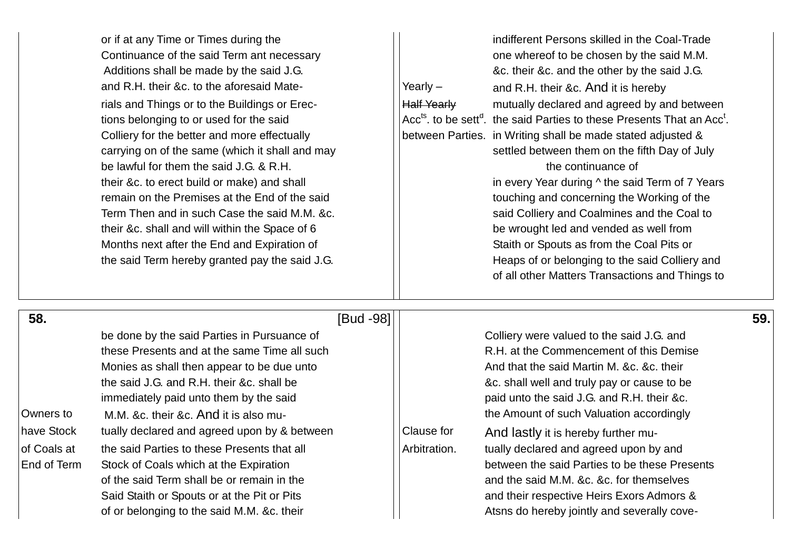|                                          | or if at any Time or Times during the<br>Continuance of the said Term ant necessary<br>Additions shall be made by the said J.G.<br>and R.H. their &c. to the aforesaid Mate-<br>rials and Things or to the Buildings or Erec-<br>tions belonging to or used for the said<br>Colliery for the better and more effectually<br>carrying on of the same (which it shall and may<br>be lawful for them the said J.G. & R.H.<br>their &c. to erect build or make) and shall<br>remain on the Premises at the End of the said<br>Term Then and in such Case the said M.M. &c.<br>their &c. shall and will within the Space of 6<br>Months next after the End and Expiration of<br>the said Term hereby granted pay the said J.G. | Yearly $-$<br><b>Half Yearly</b> | indifferent Persons skilled in the Coal-Trade<br>one whereof to be chosen by the said M.M.<br>&c. their &c. and the other by the said J.G.<br>and R.H. their &c. And it is hereby<br>mutually declared and agreed by and between<br>Acc <sup>ts</sup> , to be sett <sup>d</sup> , the said Parties to these Presents That an Acc <sup>t</sup> .<br>between Parties. in Writing shall be made stated adjusted &<br>settled between them on the fifth Day of July<br>the continuance of<br>in every Year during ^ the said Term of 7 Years<br>touching and concerning the Working of the<br>said Colliery and Coalmines and the Coal to<br>be wrought led and vended as well from<br>Staith or Spouts as from the Coal Pits or<br>Heaps of or belonging to the said Colliery and<br>of all other Matters Transactions and Things to |     |
|------------------------------------------|---------------------------------------------------------------------------------------------------------------------------------------------------------------------------------------------------------------------------------------------------------------------------------------------------------------------------------------------------------------------------------------------------------------------------------------------------------------------------------------------------------------------------------------------------------------------------------------------------------------------------------------------------------------------------------------------------------------------------|----------------------------------|-----------------------------------------------------------------------------------------------------------------------------------------------------------------------------------------------------------------------------------------------------------------------------------------------------------------------------------------------------------------------------------------------------------------------------------------------------------------------------------------------------------------------------------------------------------------------------------------------------------------------------------------------------------------------------------------------------------------------------------------------------------------------------------------------------------------------------------|-----|
| 58.                                      | [Bud -98]                                                                                                                                                                                                                                                                                                                                                                                                                                                                                                                                                                                                                                                                                                                 |                                  |                                                                                                                                                                                                                                                                                                                                                                                                                                                                                                                                                                                                                                                                                                                                                                                                                                   | 59. |
| Owners to                                | be done by the said Parties in Pursuance of<br>these Presents and at the same Time all such<br>Monies as shall then appear to be due unto<br>the said J.G. and R.H. their &c. shall be<br>immediately paid unto them by the said<br>M.M. &c. their &c. And it is also mu-                                                                                                                                                                                                                                                                                                                                                                                                                                                 |                                  | Colliery were valued to the said J.G. and<br>R.H. at the Commencement of this Demise<br>And that the said Martin M. &c. &c. their<br>&c. shall well and truly pay or cause to be<br>paid unto the said J.G. and R.H. their &c.<br>the Amount of such Valuation accordingly                                                                                                                                                                                                                                                                                                                                                                                                                                                                                                                                                        |     |
| have Stock<br>of Coals at<br>End of Term | tually declared and agreed upon by & between<br>the said Parties to these Presents that all<br>Stock of Coals which at the Expiration<br>of the said Term shall be or remain in the<br>Said Staith or Spouts or at the Pit or Pits<br>of or belonging to the said M.M. &c. their                                                                                                                                                                                                                                                                                                                                                                                                                                          | Clause for<br>Arbitration.       | And lastly it is hereby further mu-<br>tually declared and agreed upon by and<br>between the said Parties to be these Presents<br>and the said M.M. &c. &c. for themselves<br>and their respective Heirs Exors Admors &<br>Atsns do hereby jointly and severally cove-                                                                                                                                                                                                                                                                                                                                                                                                                                                                                                                                                            |     |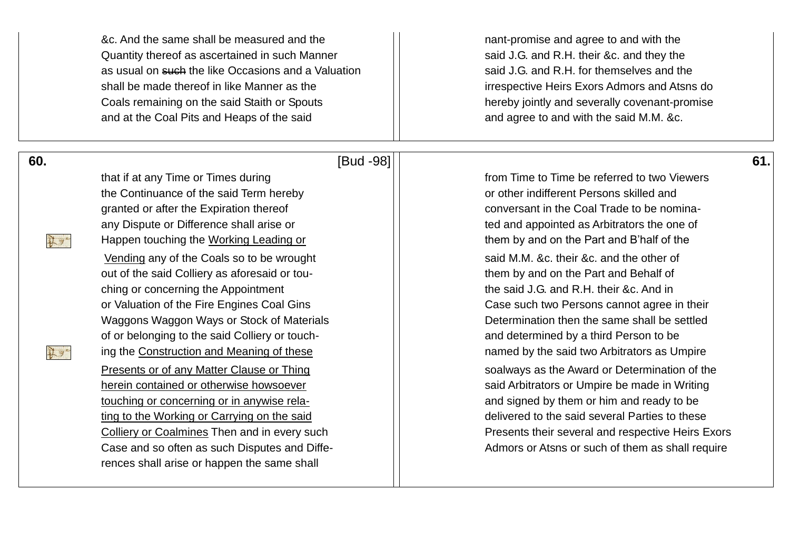|     | &c. And the same shall be measured and the<br>Quantity thereof as ascertained in such Manner<br>as usual on such the like Occasions and a Valuation<br>shall be made thereof in like Manner as the<br>Coals remaining on the said Staith or Spouts<br>and at the Coal Pits and Heaps of the said | nant-promise and agree to and with the<br>said J.G. and R.H. their &c. and they the<br>said J.G. and R.H. for themselves and the<br>irrespective Heirs Exors Admors and Atsns do<br>hereby jointly and severally covenant-promise<br>and agree to and with the said M.M. &c. |     |
|-----|--------------------------------------------------------------------------------------------------------------------------------------------------------------------------------------------------------------------------------------------------------------------------------------------------|------------------------------------------------------------------------------------------------------------------------------------------------------------------------------------------------------------------------------------------------------------------------------|-----|
| 60. | [Bud -98]                                                                                                                                                                                                                                                                                        |                                                                                                                                                                                                                                                                              | 61. |
|     | that if at any Time or Times during                                                                                                                                                                                                                                                              | from Time to Time be referred to two Viewers                                                                                                                                                                                                                                 |     |
|     | the Continuance of the said Term hereby                                                                                                                                                                                                                                                          | or other indifferent Persons skilled and                                                                                                                                                                                                                                     |     |
|     | granted or after the Expiration thereof                                                                                                                                                                                                                                                          | conversant in the Coal Trade to be nomina-                                                                                                                                                                                                                                   |     |
|     | any Dispute or Difference shall arise or                                                                                                                                                                                                                                                         | ted and appointed as Arbitrators the one of                                                                                                                                                                                                                                  |     |
| 野   | Happen touching the Working Leading or                                                                                                                                                                                                                                                           | them by and on the Part and B'half of the                                                                                                                                                                                                                                    |     |
|     | Vending any of the Coals so to be wrought                                                                                                                                                                                                                                                        | said M.M. &c. their &c. and the other of                                                                                                                                                                                                                                     |     |
|     | out of the said Colliery as aforesaid or tou-                                                                                                                                                                                                                                                    | them by and on the Part and Behalf of                                                                                                                                                                                                                                        |     |
|     | ching or concerning the Appointment                                                                                                                                                                                                                                                              | the said J.G. and R.H. their &c. And in                                                                                                                                                                                                                                      |     |
|     | or Valuation of the Fire Engines Coal Gins                                                                                                                                                                                                                                                       | Case such two Persons cannot agree in their                                                                                                                                                                                                                                  |     |
|     | Waggons Waggon Ways or Stock of Materials                                                                                                                                                                                                                                                        | Determination then the same shall be settled                                                                                                                                                                                                                                 |     |
|     | of or belonging to the said Colliery or touch-                                                                                                                                                                                                                                                   | and determined by a third Person to be                                                                                                                                                                                                                                       |     |
| 就是  | ing the Construction and Meaning of these                                                                                                                                                                                                                                                        | named by the said two Arbitrators as Umpire                                                                                                                                                                                                                                  |     |
|     | Presents or of any Matter Clause or Thing                                                                                                                                                                                                                                                        | soalways as the Award or Determination of the                                                                                                                                                                                                                                |     |
|     | herein contained or otherwise howsoever                                                                                                                                                                                                                                                          | said Arbitrators or Umpire be made in Writing                                                                                                                                                                                                                                |     |
|     | touching or concerning or in anywise rela-                                                                                                                                                                                                                                                       | and signed by them or him and ready to be                                                                                                                                                                                                                                    |     |
|     | ting to the Working or Carrying on the said                                                                                                                                                                                                                                                      | delivered to the said several Parties to these                                                                                                                                                                                                                               |     |
|     | Colliery or Coalmines Then and in every such                                                                                                                                                                                                                                                     | Presents their several and respective Heirs Exors                                                                                                                                                                                                                            |     |
|     | Case and so often as such Disputes and Diffe-                                                                                                                                                                                                                                                    | Admors or Atsns or such of them as shall require                                                                                                                                                                                                                             |     |
|     | rences shall arise or happen the same shall                                                                                                                                                                                                                                                      |                                                                                                                                                                                                                                                                              |     |
|     |                                                                                                                                                                                                                                                                                                  |                                                                                                                                                                                                                                                                              |     |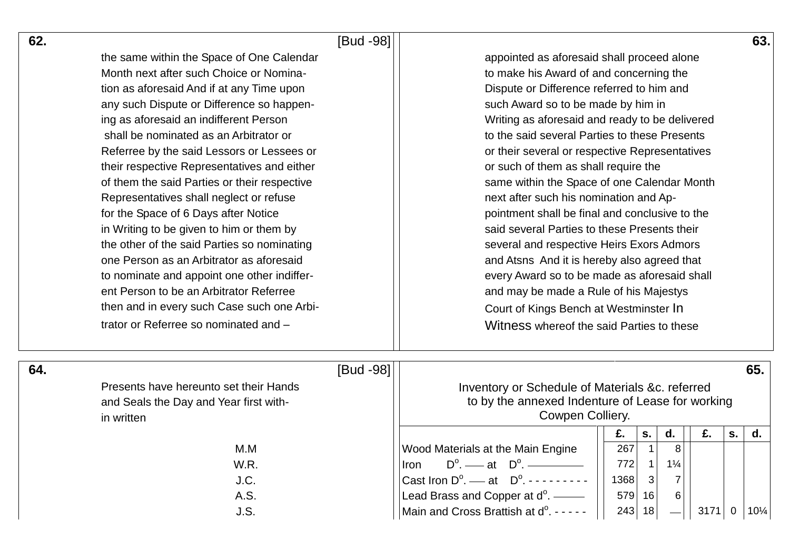| 62. |                                              | [Bud -98] |                                                              |                                                                                             |                |                |      |                | 63.             |  |  |  |  |  |
|-----|----------------------------------------------|-----------|--------------------------------------------------------------|---------------------------------------------------------------------------------------------|----------------|----------------|------|----------------|-----------------|--|--|--|--|--|
|     | the same within the Space of One Calendar    |           | appointed as aforesaid shall proceed alone                   |                                                                                             |                |                |      |                |                 |  |  |  |  |  |
|     | Month next after such Choice or Nomina-      |           | to make his Award of and concerning the                      |                                                                                             |                |                |      |                |                 |  |  |  |  |  |
|     | tion as aforesaid And if at any Time upon    |           | Dispute or Difference referred to him and                    |                                                                                             |                |                |      |                |                 |  |  |  |  |  |
|     | any such Dispute or Difference so happen-    |           | such Award so to be made by him in                           |                                                                                             |                |                |      |                |                 |  |  |  |  |  |
|     | ing as aforesaid an indifferent Person       |           | Writing as aforesaid and ready to be delivered               |                                                                                             |                |                |      |                |                 |  |  |  |  |  |
|     | shall be nominated as an Arbitrator or       |           | to the said several Parties to these Presents                |                                                                                             |                |                |      |                |                 |  |  |  |  |  |
|     | Referree by the said Lessors or Lessees or   |           | or their several or respective Representatives               |                                                                                             |                |                |      |                |                 |  |  |  |  |  |
|     | their respective Representatives and either  |           | or such of them as shall require the                         |                                                                                             |                |                |      |                |                 |  |  |  |  |  |
|     | of them the said Parties or their respective |           | same within the Space of one Calendar Month                  |                                                                                             |                |                |      |                |                 |  |  |  |  |  |
|     | Representatives shall neglect or refuse      |           | next after such his nomination and Ap-                       |                                                                                             |                |                |      |                |                 |  |  |  |  |  |
|     | for the Space of 6 Days after Notice         |           | pointment shall be final and conclusive to the               |                                                                                             |                |                |      |                |                 |  |  |  |  |  |
|     | in Writing to be given to him or them by     |           | said several Parties to these Presents their                 |                                                                                             |                |                |      |                |                 |  |  |  |  |  |
|     | the other of the said Parties so nominating  |           | several and respective Heirs Exors Admors                    |                                                                                             |                |                |      |                |                 |  |  |  |  |  |
|     | one Person as an Arbitrator as aforesaid     |           |                                                              | and Atsns And it is hereby also agreed that<br>every Award so to be made as aforesaid shall |                |                |      |                |                 |  |  |  |  |  |
|     | to nominate and appoint one other indiffer-  |           |                                                              |                                                                                             |                |                |      |                |                 |  |  |  |  |  |
|     | ent Person to be an Arbitrator Referree      |           | and may be made a Rule of his Majestys                       |                                                                                             |                |                |      |                |                 |  |  |  |  |  |
|     | then and in every such Case such one Arbi-   |           | Court of Kings Bench at Westminster In                       |                                                                                             |                |                |      |                |                 |  |  |  |  |  |
|     | trator or Referree so nominated and -        |           | Witness whereof the said Parties to these                    |                                                                                             |                |                |      |                |                 |  |  |  |  |  |
| 64. |                                              | [Bud -98] |                                                              |                                                                                             |                |                |      |                | 65.             |  |  |  |  |  |
|     | Presents have hereunto set their Hands       |           | Inventory or Schedule of Materials &c. referred              |                                                                                             |                |                |      |                |                 |  |  |  |  |  |
|     | and Seals the Day and Year first with-       |           |                                                              | to by the annexed Indenture of Lease for working                                            |                |                |      |                |                 |  |  |  |  |  |
|     | in written                                   |           | Cowpen Colliery.                                             |                                                                                             |                |                |      |                |                 |  |  |  |  |  |
|     |                                              |           |                                                              |                                                                                             | S.             | d.             | £.   | S.             | d.              |  |  |  |  |  |
|     | M.M                                          |           | Wood Materials at the Main Engine                            | 267                                                                                         | $\overline{1}$ | 8 <sup>1</sup> |      |                |                 |  |  |  |  |  |
|     | W.R.                                         |           | <b>Iron</b>                                                  | 772                                                                                         |                | $1\frac{1}{4}$ |      |                |                 |  |  |  |  |  |
|     | J.C.                                         |           | Cast Iron $D^{\circ}$ . — at $D^{\circ}$ . - - - - - - - - - | 1368                                                                                        | $\mathbf{3}$   |                |      |                |                 |  |  |  |  |  |
|     | A.S.                                         |           | Lead Brass and Copper at $d^{\circ}$ . —                     |                                                                                             | $579$ 16       |                |      |                |                 |  |  |  |  |  |
|     | J.S.                                         |           | Main and Cross Brattish at d <sup>o</sup> . - - - - -        |                                                                                             | $243$ 18       |                | 3171 | $\overline{0}$ | $10\frac{1}{4}$ |  |  |  |  |  |